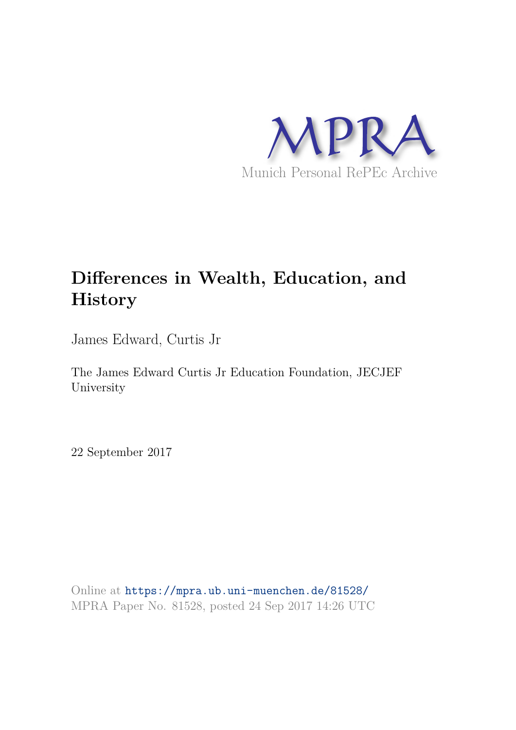

# **Differences in Wealth, Education, and History**

James Edward, Curtis Jr

The James Edward Curtis Jr Education Foundation, JECJEF University

22 September 2017

Online at https://mpra.ub.uni-muenchen.de/81528/ MPRA Paper No. 81528, posted 24 Sep 2017 14:26 UTC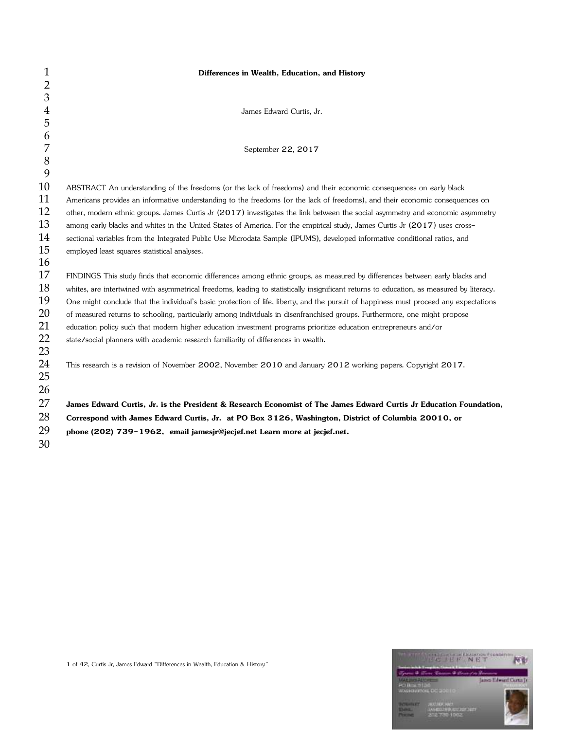| $\mathbf{1}$   | Differences in Wealth, Education, and History                                                                                             |
|----------------|-------------------------------------------------------------------------------------------------------------------------------------------|
| $\overline{2}$ |                                                                                                                                           |
| 3              |                                                                                                                                           |
| $\overline{4}$ | James Edward Curtis, Jr.                                                                                                                  |
| 5              |                                                                                                                                           |
| 6              |                                                                                                                                           |
| 7              | September 22, 2017                                                                                                                        |
| $8\,$          |                                                                                                                                           |
| 9              |                                                                                                                                           |
| 10             | ABSTRACT An understanding of the freedoms (or the lack of freedoms) and their economic consequences on early black                        |
| 11             | Americans provides an informative understanding to the freedoms (or the lack of freedoms), and their economic consequences on             |
| 12             | other, modern ethnic groups. James Curtis Jr (2017) investigates the link between the social asymmetry and economic asymmetry             |
| 13             | among early blacks and whites in the United States of America. For the empirical study, James Curtis Jr (2017) uses cross-                |
| 14             | sectional variables from the Integrated Public Use Microdata Sample (IPUMS), developed informative conditional ratios, and                |
| 15             | employed least squares statistical analyses.                                                                                              |
| 16             |                                                                                                                                           |
| 17             | FINDINGS This study finds that economic differences among ethnic groups, as measured by differences between early blacks and              |
| 18             | whites, are intertwined with asymmetrical freedoms, leading to statistically insignificant returns to education, as measured by literacy. |
| 19             | One might conclude that the individual's basic protection of life, liberty, and the pursuit of happiness must proceed any expectations    |
| 20             | of measured returns to schooling, particularly among individuals in disenfranchised groups. Furthermore, one might propose                |
| 21             | education policy such that modern higher education investment programs prioritize education entrepreneurs and/or                          |
| 22             | state/social planners with academic research familiarity of differences in wealth.                                                        |
| 23             |                                                                                                                                           |
| 24             | This research is a revision of November 2002, November 2010 and January 2012 working papers. Copyright 2017.                              |
| 25             |                                                                                                                                           |
| 26             |                                                                                                                                           |
| 27             | James Edward Curtis, Jr. is the President & Research Economist of The James Edward Curtis Jr Education Foundation,                        |
| 28             | Correspond with James Edward Curtis, Jr. at PO Box 3126, Washington, District of Columbia 20010, or                                       |
| 29             | phone (202) 739-1962, email jamesjr@jecjef.net Learn more at jecjef.net.                                                                  |
| 30             |                                                                                                                                           |

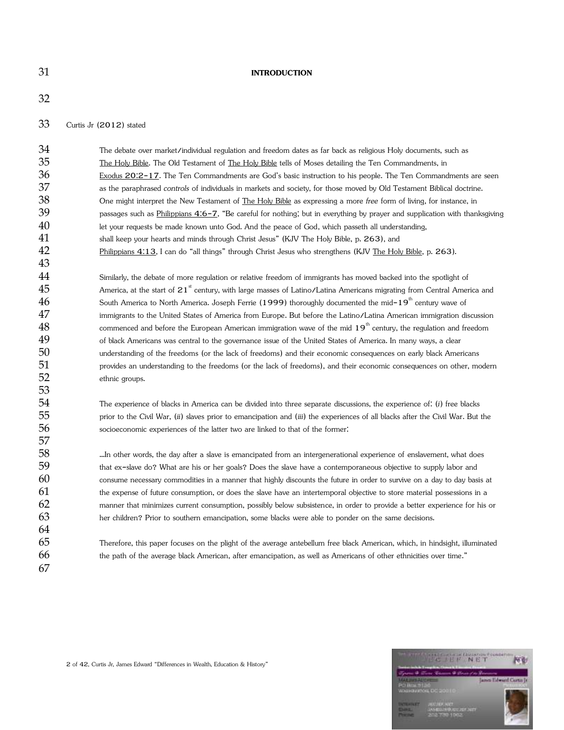### **INTRODUCTION**

Curtis Jr (2012) stated

| 34 | The debate over market/individual regulation and freedom dates as far back as religious Holy documents, such as                    |
|----|------------------------------------------------------------------------------------------------------------------------------------|
| 35 | The Holy Bible. The Old Testament of The Holy Bible tells of Moses detailing the Ten Commandments, in                              |
| 36 | Exodus 20:2-17. The Ten Commandments are God's basic instruction to his people. The Ten Commandments are seen                      |
| 37 | as the paraphrased controls of individuals in markets and society, for those moved by Old Testament Biblical doctrine.             |
| 38 | One might interpret the New Testament of The Holy Bible as expressing a more free form of living, for instance, in                 |
| 39 | passages such as Philippians 4:6-7, "Be careful for nothing; but in everything by prayer and supplication with thanksgiving        |
| 40 | let your requests be made known unto God. And the peace of God, which passeth all understanding,                                   |
| 41 | shall keep your hearts and minds through Christ Jesus" (KJV The Holy Bible, p. 263), and                                           |
| 42 | Philippians 4:13, I can do "all things" through Christ Jesus who strengthens (KJV The Holy Bible, p. 263).                         |
| 43 |                                                                                                                                    |
| 44 | Similarly, the debate of more regulation or relative freedom of immigrants has moved backed into the spotlight of                  |
| 45 | America, at the start of 21 <sup>st</sup> century, with large masses of Latino/Latina Americans migrating from Central America and |
| 46 | South America to North America. Joseph Ferrie (1999) thoroughly documented the mid-19 <sup>th</sup> century wave of                |
| 47 | immigrants to the United States of America from Europe. But before the Latino/Latina American immigration discussion               |
| 48 | commenced and before the European American immigration wave of the mid 19 <sup>th</sup> century, the regulation and freedom        |
| 49 | of black Americans was central to the governance issue of the United States of America. In many ways, a clear                      |
| 50 | understanding of the freedoms (or the lack of freedoms) and their economic consequences on early black Americans                   |
| 51 | provides an understanding to the freedoms (or the lack of freedoms), and their economic consequences on other, modern              |
| 52 | ethnic groups.                                                                                                                     |
| 53 |                                                                                                                                    |
| 54 | The experience of blacks in America can be divided into three separate discussions, the experience of: (i) free blacks             |
| 55 | prior to the Civil War, (ii) slaves prior to emancipation and (iii) the experiences of all blacks after the Civil War. But the     |
| 56 | socioeconomic experiences of the latter two are linked to that of the former:                                                      |
| 57 |                                                                                                                                    |
| 58 | In other words, the day after a slave is emancipated from an intergenerational experience of enslavement, what does                |
| 59 | that ex-slave do? What are his or her goals? Does the slave have a contemporaneous objective to supply labor and                   |
| 60 | consume necessary commodities in a manner that highly discounts the future in order to survive on a day to day basis at            |
| 61 | the expense of future consumption, or does the slave have an intertemporal objective to store material possessions in a            |
| 62 | manner that minimizes current consumption, possibly below subsistence, in order to provide a better experience for his or          |
| 63 | her children? Prior to southern emancipation, some blacks were able to ponder on the same decisions.                               |
| 64 |                                                                                                                                    |
| 65 | Therefore, this paper focuses on the plight of the average antebellum free black American, which, in hindsight, illuminated        |
| 66 | the path of the average black American, after emancipation, as well as Americans of other ethnicities over time."                  |
| 67 |                                                                                                                                    |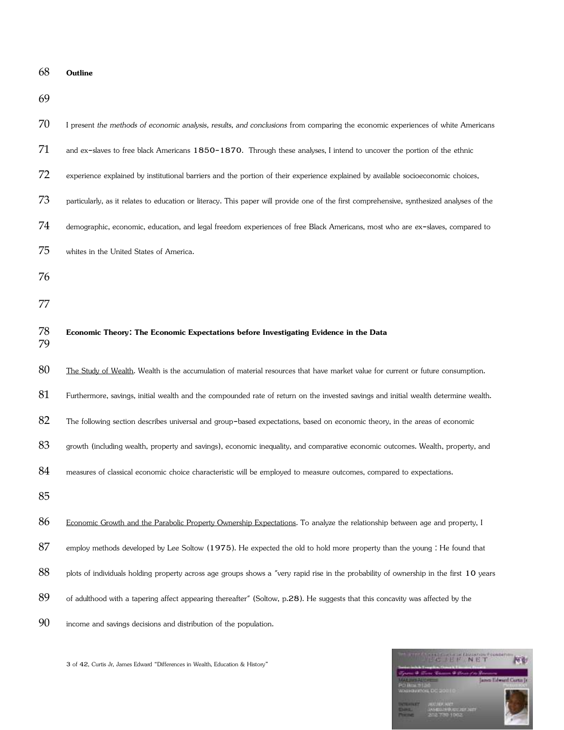| 68       | Outline                                                                                                                                   |
|----------|-------------------------------------------------------------------------------------------------------------------------------------------|
| 69       |                                                                                                                                           |
| 70       | I present the methods of economic analysis, results, and conclusions from comparing the economic experiences of white Americans           |
| 71       | and ex-slaves to free black Americans 1850-1870. Through these analyses, I intend to uncover the portion of the ethnic                    |
| 72       | experience explained by institutional barriers and the portion of their experience explained by available socioeconomic choices,          |
| 73       | particularly, as it relates to education or literacy. This paper will provide one of the first comprehensive, synthesized analyses of the |
| 74       | demographic, economic, education, and legal freedom experiences of free Black Americans, most who are ex-slaves, compared to              |
| 75       | whites in the United States of America.                                                                                                   |
| 76       |                                                                                                                                           |
| 77       |                                                                                                                                           |
| 78<br>79 | Economic Theory: The Economic Expectations before Investigating Evidence in the Data                                                      |
| 80       | The Study of Wealth. Wealth is the accumulation of material resources that have market value for current or future consumption.           |
| 81       | Furthermore, savings, initial wealth and the compounded rate of return on the invested savings and initial wealth determine wealth.       |
| 82       | The following section describes universal and group-based expectations, based on economic theory, in the areas of economic                |
| 83       | growth (including wealth, property and savings), economic inequality, and comparative economic outcomes. Wealth, property, and            |
| 84       | measures of classical economic choice characteristic will be employed to measure outcomes, compared to expectations.                      |
| 85       |                                                                                                                                           |
| 86       | Economic Growth and the Parabolic Property Ownership Expectations. To analyze the relationship between age and property, I                |
| 87       | employ methods developed by Lee Soltow (1975). He expected the old to hold more property than the young : He found that                   |
| 88       | plots of individuals holding property across age groups shows a "very rapid rise in the probability of ownership in the first 10 years    |
| 89       | of adulthood with a tapering affect appearing thereafter" (Soltow, p.28). He suggests that this concavity was affected by the             |
| 90       | income and savings decisions and distribution of the population.                                                                          |

3 of 42, Curtis Jr, James Edward "Differences in Wealth, Education & History"

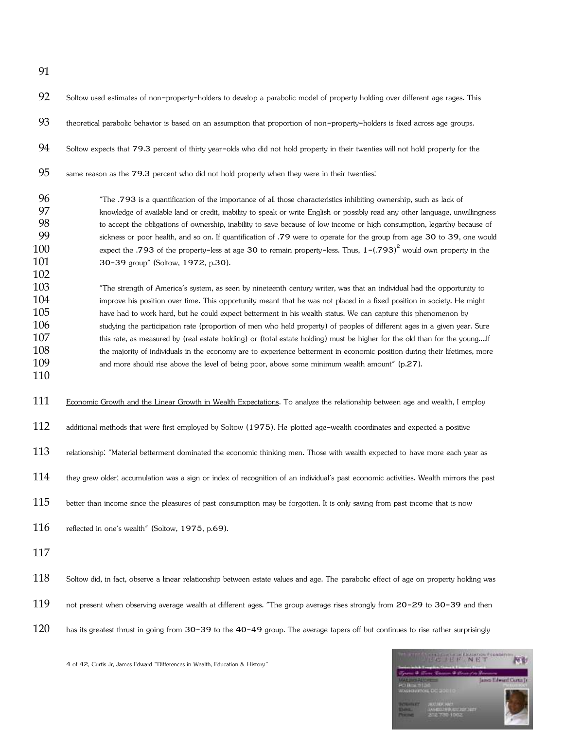| 92                                                   | Soltow used estimates of non-property-holders to develop a parabolic model of property holding over different age rages. This                                                                                                                                                                                                                                                                                                                                                                                                                                                                                                                                                                                                                                                                                                                            |
|------------------------------------------------------|----------------------------------------------------------------------------------------------------------------------------------------------------------------------------------------------------------------------------------------------------------------------------------------------------------------------------------------------------------------------------------------------------------------------------------------------------------------------------------------------------------------------------------------------------------------------------------------------------------------------------------------------------------------------------------------------------------------------------------------------------------------------------------------------------------------------------------------------------------|
| 93                                                   | theoretical parabolic behavior is based on an assumption that proportion of non-property-holders is fixed across age groups.                                                                                                                                                                                                                                                                                                                                                                                                                                                                                                                                                                                                                                                                                                                             |
| 94                                                   | Soltow expects that 79.3 percent of thirty year-olds who did not hold property in their twenties will not hold property for the                                                                                                                                                                                                                                                                                                                                                                                                                                                                                                                                                                                                                                                                                                                          |
| 95                                                   | same reason as the 79.3 percent who did not hold property when they were in their twenties:                                                                                                                                                                                                                                                                                                                                                                                                                                                                                                                                                                                                                                                                                                                                                              |
| 96<br>97<br>98<br>99<br>100<br>101<br>102            | "The .793 is a quantification of the importance of all those characteristics inhibiting ownership, such as lack of<br>knowledge of available land or credit, inability to speak or write English or possibly read any other language, unwillingness<br>to accept the obligations of ownership, inability to save because of low income or high consumption, legarthy because of<br>sickness or poor health, and so on. If quantification of .79 were to operate for the group from age 30 to 39, one would<br>expect the .793 of the property-less at age 30 to remain property-less. Thus, $1-(.793)^2$ would own property in the<br>30-39 group" (Soltow, 1972, p.30).                                                                                                                                                                                 |
| 103<br>104<br>105<br>106<br>107<br>108<br>109<br>110 | "The strength of America's system, as seen by nineteenth century writer, was that an individual had the opportunity to<br>improve his position over time. This opportunity meant that he was not placed in a fixed position in society. He might<br>have had to work hard, but he could expect betterment in his wealth status. We can capture this phenomenon by<br>studying the participation rate (proportion of men who held property) of peoples of different ages in a given year. Sure<br>this rate, as measured by (real estate holding) or (total estate holding) must be higher for the old than for the youngIf<br>the majority of individuals in the economy are to experience betterment in economic position during their lifetimes, more<br>and more should rise above the level of being poor, above some minimum wealth amount" (p.27). |
| 111                                                  | Economic Growth and the Linear Growth in Wealth Expectations. To analyze the relationship between age and wealth, I employ                                                                                                                                                                                                                                                                                                                                                                                                                                                                                                                                                                                                                                                                                                                               |
| 112                                                  | additional methods that were first employed by Soltow (1975). He plotted age-wealth coordinates and expected a positive                                                                                                                                                                                                                                                                                                                                                                                                                                                                                                                                                                                                                                                                                                                                  |
| 113                                                  | relationship: "Material betterment dominated the economic thinking men. Those with wealth expected to have more each year as                                                                                                                                                                                                                                                                                                                                                                                                                                                                                                                                                                                                                                                                                                                             |
| 114                                                  | they grew older, accumulation was a sign or index of recognition of an individual's past economic activities. Wealth mirrors the past                                                                                                                                                                                                                                                                                                                                                                                                                                                                                                                                                                                                                                                                                                                    |
| 115                                                  | better than income since the pleasures of past consumption may be forgotten. It is only saving from past income that is now                                                                                                                                                                                                                                                                                                                                                                                                                                                                                                                                                                                                                                                                                                                              |
| 116                                                  | reflected in one's wealth" (Soltow, 1975, p.69).                                                                                                                                                                                                                                                                                                                                                                                                                                                                                                                                                                                                                                                                                                                                                                                                         |
| 117                                                  |                                                                                                                                                                                                                                                                                                                                                                                                                                                                                                                                                                                                                                                                                                                                                                                                                                                          |
| 118                                                  | Soltow did, in fact, observe a linear relationship between estate values and age. The parabolic effect of age on property holding was                                                                                                                                                                                                                                                                                                                                                                                                                                                                                                                                                                                                                                                                                                                    |
| 119                                                  | not present when observing average wealth at different ages. "The group average rises strongly from 20-29 to 30-39 and then                                                                                                                                                                                                                                                                                                                                                                                                                                                                                                                                                                                                                                                                                                                              |
| 120                                                  | has its greatest thrust in going from 30-39 to the 40-49 group. The average tapers off but continues to rise rather surprisingly                                                                                                                                                                                                                                                                                                                                                                                                                                                                                                                                                                                                                                                                                                                         |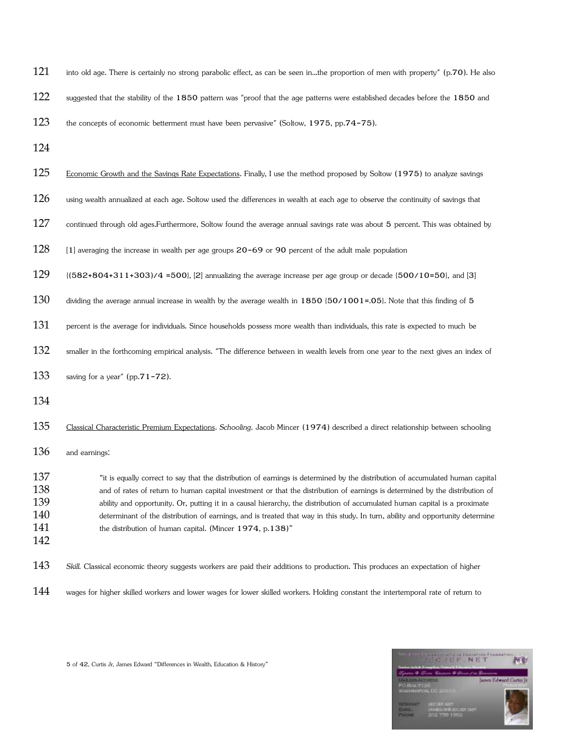| 121                                    | into old age. There is certainly no strong parabolic effect, as can be seen inthe proportion of men with property" (p.70). He also                                                                                                                                                                                                                                                                                                                                                                                                                                                          |
|----------------------------------------|---------------------------------------------------------------------------------------------------------------------------------------------------------------------------------------------------------------------------------------------------------------------------------------------------------------------------------------------------------------------------------------------------------------------------------------------------------------------------------------------------------------------------------------------------------------------------------------------|
| 122                                    | suggested that the stability of the 1850 pattern was "proof that the age patterns were established decades before the 1850 and                                                                                                                                                                                                                                                                                                                                                                                                                                                              |
| 123                                    | the concepts of economic betterment must have been pervasive" (Soltow, 1975, pp.74-75).                                                                                                                                                                                                                                                                                                                                                                                                                                                                                                     |
| 124                                    |                                                                                                                                                                                                                                                                                                                                                                                                                                                                                                                                                                                             |
| 125                                    | Economic Growth and the Savings Rate Expectations. Finally, I use the method proposed by Soltow (1975) to analyze savings                                                                                                                                                                                                                                                                                                                                                                                                                                                                   |
| 126                                    | using wealth annualized at each age. Soltow used the differences in wealth at each age to observe the continuity of savings that                                                                                                                                                                                                                                                                                                                                                                                                                                                            |
| 127                                    | continued through old ages.Furthermore, Soltow found the average annual savings rate was about 5 percent. This was obtained by                                                                                                                                                                                                                                                                                                                                                                                                                                                              |
| 128                                    | [1] averaging the increase in wealth per age groups 20-69 or 90 percent of the adult male population                                                                                                                                                                                                                                                                                                                                                                                                                                                                                        |
| 129                                    | {(582+804+311+303)/4 =500}, [2] annualizing the average increase per age group or decade (500/10=50}, and [3]                                                                                                                                                                                                                                                                                                                                                                                                                                                                               |
| 130                                    | dividing the average annual increase in wealth by the average wealth in 1850 {50/1001=.05}. Note that this finding of 5                                                                                                                                                                                                                                                                                                                                                                                                                                                                     |
| 131                                    | percent is the average for individuals. Since households possess more wealth than individuals, this rate is expected to much be                                                                                                                                                                                                                                                                                                                                                                                                                                                             |
| 132                                    | smaller in the forthcoming empirical analysis. "The difference between in wealth levels from one year to the next gives an index of                                                                                                                                                                                                                                                                                                                                                                                                                                                         |
| 133                                    | saving for a year" (pp. $71-72$ ).                                                                                                                                                                                                                                                                                                                                                                                                                                                                                                                                                          |
| 134                                    |                                                                                                                                                                                                                                                                                                                                                                                                                                                                                                                                                                                             |
| 135                                    | Classical Characteristic Premium Expectations. Schooling. Jacob Mincer (1974) described a direct relationship between schooling                                                                                                                                                                                                                                                                                                                                                                                                                                                             |
| 136                                    | and earnings:                                                                                                                                                                                                                                                                                                                                                                                                                                                                                                                                                                               |
| 137<br>138<br>139<br>140<br>141<br>142 | "it is equally correct to say that the distribution of earnings is determined by the distribution of accumulated human capital<br>and of rates of return to human capital investment or that the distribution of earnings is determined by the distribution of<br>ability and opportunity. Or, putting it in a causal hierarchy, the distribution of accumulated human capital is a proximate<br>determinant of the distribution of earnings, and is treated that way in this study. In turn, ability and opportunity determine<br>the distribution of human capital. (Mincer 1974, p.138)" |
| 143                                    | Skill. Classical economic theory suggests workers are paid their additions to production. This produces an expectation of higher                                                                                                                                                                                                                                                                                                                                                                                                                                                            |
| 144                                    | wages for higher skilled workers and lower wages for lower skilled workers. Holding constant the intertemporal rate of return to                                                                                                                                                                                                                                                                                                                                                                                                                                                            |

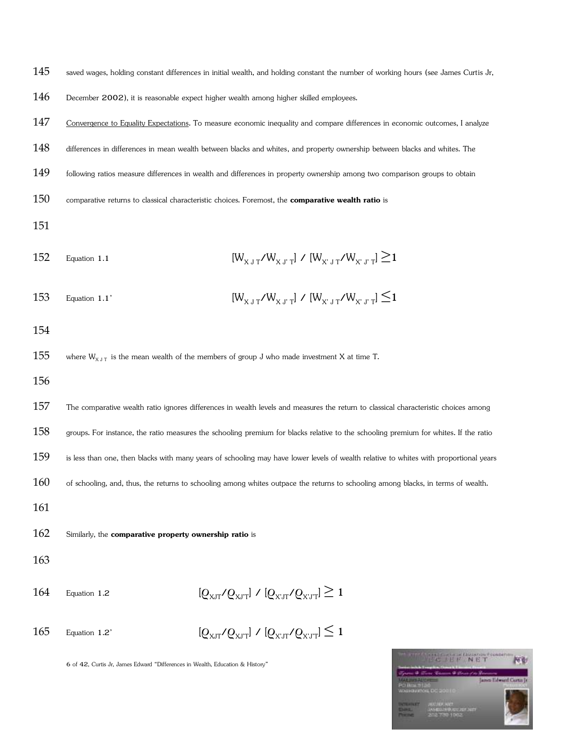145 saved wages, holding constant differences in initial wealth, and holding constant the number of working hours (see James Curtis Jr,

- 146 December 2002), it is reasonable expect higher wealth among higher skilled employees.
- 147 Convergence to Equality Expectations. To measure economic inequality and compare differences in economic outcomes, I analyze

148 differences in differences in mean wealth between blacks and whites, and property ownership between blacks and whites. The

- 149 following ratios measure differences in wealth and differences in property ownership among two comparison groups to obtain
- 150 comparative returns to classical characteristic choices. Foremost, the **comparative wealth ratio** is
- 151
- 152 Equation 1.1  $[W_{X+T}/W_{X+T}] / [W_{Y+T}/W_{Y+T}] \ge 1$
- 153 Equation 1.1'  $[W_{X,T} / W_{X,T}] / [W_{Y,T} / W_{X,T}] \leq 1$
- 154
- 155 where  $W_{X, J, T}$  is the mean wealth of the members of group J who made investment X at time T.
- 156
- 157 The comparative wealth ratio ignores differences in wealth levels and measures the return to classical characteristic choices among
- 158 groups. For instance, the ratio measures the schooling premium for blacks relative to the schooling premium for whites. If the ratio
- 159 is less than one, then blacks with many years of schooling may have lower levels of wealth relative to whites with proportional years
- $160$  of schooling, and, thus, the returns to schooling among whites outpace the returns to schooling among blacks, in terms of wealth.
- 161
- 162 Similarly, the **comparative property ownership ratio** is
- 163
- 164 Equation 1.2  $[O_{XIT}/O_{XIT}] / [O_{XLT}/O_{XIT}] \ge 1$
- 165 Equation 1.2'  $[Q_{XIT}/Q_{XIT}] / [Q_{XLT}/Q_{XIT}] \leq 1$



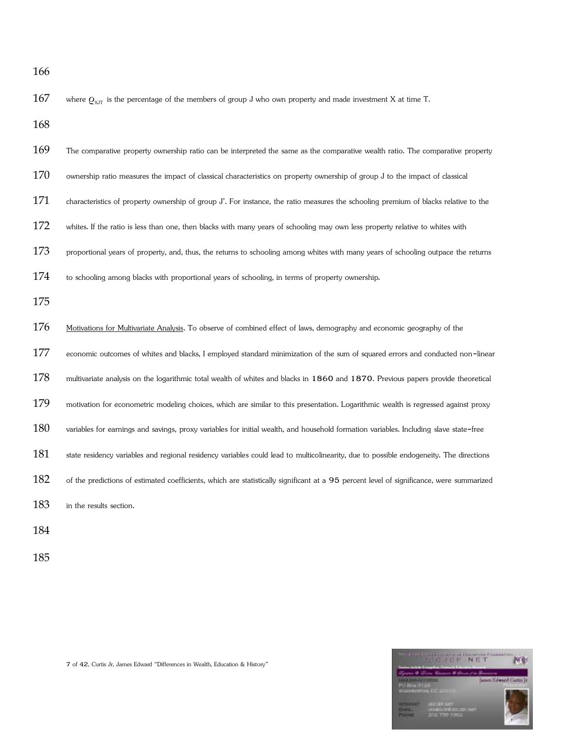167 where  $Q_{XJT}$  is the percentage of the members of group J who own property and made investment X at time T.

168

- 169 The comparative property ownership ratio can be interpreted the same as the comparative wealth ratio. The comparative property
- 170 ownership ratio measures the impact of classical characteristics on property ownership of group J to the impact of classical
- 171 characteristics of property ownership of group J'. For instance, the ratio measures the schooling premium of blacks relative to the
- 172 whites. If the ratio is less than one, then blacks with many years of schooling may own less property relative to whites with
- $173$  proportional years of property, and, thus, the returns to schooling among whites with many years of schooling outpace the returns
- 174 to schooling among blacks with proportional years of schooling, in terms of property ownership.
- 175

176 Motivations for Multivariate Analysis. To observe of combined effect of laws, demography and economic geography of the 177 economic outcomes of whites and blacks, I employed standard minimization of the sum of squared errors and conducted non-linear 178 multivariate analysis on the logarithmic total wealth of whites and blacks in 1860 and 1870. Previous papers provide theoretical 179 motivation for econometric modeling choices, which are similar to this presentation. Logarithmic wealth is regressed against proxy 180 variables for earnings and savings, proxy variables for initial wealth, and household formation variables. Including slave state-free 181 state residency variables and regional residency variables could lead to multicolinearity, due to possible endogeneity. The directions 182 of the predictions of estimated coefficients, which are statistically significant at a 95 percent level of significance, were summarized 183 in the results section.

184

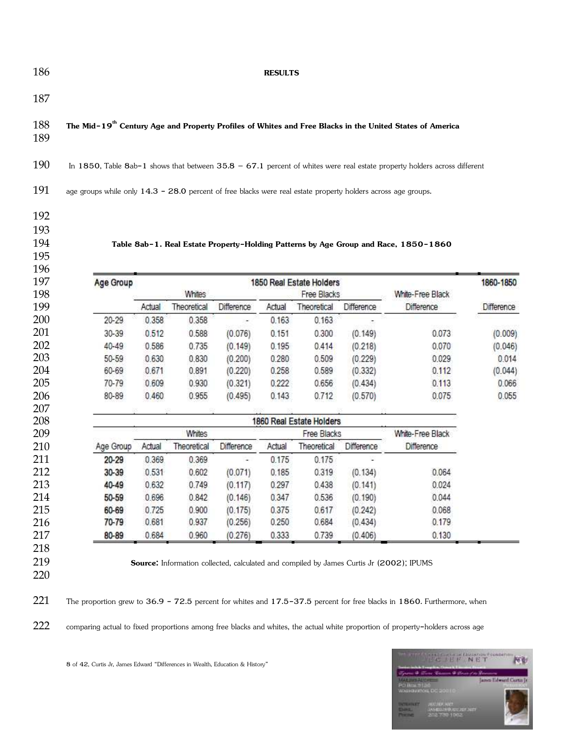### **RESULTS**

### **The Mid-19th Century Age and Property Profiles of Whites and Free Blacks in the United States of America**

In 1850, Table 8ab-1 shows that between 35.8 – 67.1 percent of whites were real estate property holders across different

191 age groups while only 14.3 - 28.0 percent of free blacks were real estate property holders across age groups.

## 

**Table 8ab-1. Real Estate Property-Holding Patterns by Age Group and Race, 1850-1860** 

|  | Age Group |        |             |                   |        | 1850 Real Estate Holders |            |                  | 1860-1850  |  |
|--|-----------|--------|-------------|-------------------|--------|--------------------------|------------|------------------|------------|--|
|  |           |        | Whites      |                   |        | Free Blacks              |            | White-Free Black |            |  |
|  |           | Actual | Theoretical | <b>Difference</b> | Actual | Theoretical              | Difference | Difference       | Difference |  |
|  | 20-29     | 0.358  | 0.358       |                   | 0.163  | 0.163                    |            |                  |            |  |
|  | 30-39     | 0.512  | 0.588       | (0.076)           | 0.151  | 0.300                    | (0.149)    | 0.073            | (0.009)    |  |
|  | 40-49     | 0.586  | 0.735       | (0.149)           | 0.195  | 0.414                    | (0.218)    | 0.070            | (0.046)    |  |
|  | 50-59     | 0.630  | 0.830       | (0.200)           | 0.280  | 0.509                    | (0.229)    | 0.029            | 0.014      |  |
|  | 60-69     | 0.671  | 0.891       | (0.220)           | 0.258  | 0.589                    | (0.332)    | 0.112            | (0.044)    |  |
|  | 70-79     | 0.609  | 0.930       | (0.321)           | 0.222  | 0.656                    | (0.434)    | 0.113            | 0.066      |  |
|  | 80-89     | 0.460  | 0.955       | (0.495)           | 0.143  | 0.712                    | (0.570)    | 0.075            | 0.055      |  |
|  |           |        |             |                   | -22233 |                          |            |                  |            |  |

| 208 | 1860 Real Estate Holders |        |             |            |        |             |                   |            |  |  |
|-----|--------------------------|--------|-------------|------------|--------|-------------|-------------------|------------|--|--|
| 209 | Whites                   |        |             |            |        | Free Blacks | White-Free Black  |            |  |  |
| 210 | Age Group                | Actual | Theoretical | Difference | Actual | Theoretical | <b>Difference</b> | Difference |  |  |
| 211 | 20-29                    | 0.369  | 0.369       | $\sim$     | 0.175  | 0.175       |                   |            |  |  |
| 212 | 30-39                    | 0.531  | 0.602       | (0.071)    | 0.185  | 0.319       | (0.134)           | 0.064      |  |  |
|     | 40-49                    | 0.632  | 0.749       | (0.117)    | 0.297  | 0.438       | (0.141)           | 0.024      |  |  |
|     | 50-59                    | 0.696  | 0.842       | (0.146)    | 0.347  | 0.536       | (0.190)           | 0.044      |  |  |
|     | 60-69                    | 0.725  | 0.900       | (0.175)    | 0.375  | 0.617       | (0.242)           | 0.068      |  |  |
| 216 | 70-79                    | 0.681  | 0.937       | (0.256)    | 0.250  | 0.684       | (0.434)           | 0.179      |  |  |
| 217 | 80-89                    | 0.684  | 0.960       | (0.276)    | 0.333  | 0.739       | (0.406)           | 0.130      |  |  |
| 218 |                          |        |             |            |        |             |                   |            |  |  |

**Source:** Information collected, calculated and compiled by James Curtis Jr (2002); IPUMS

The proportion grew to 36.9 - 72.5 percent for whites and 17.5-37.5 percent for free blacks in 1860. Furthermore, when

222 comparing actual to fixed proportions among free blacks and whites, the actual white proportion of property-holders across age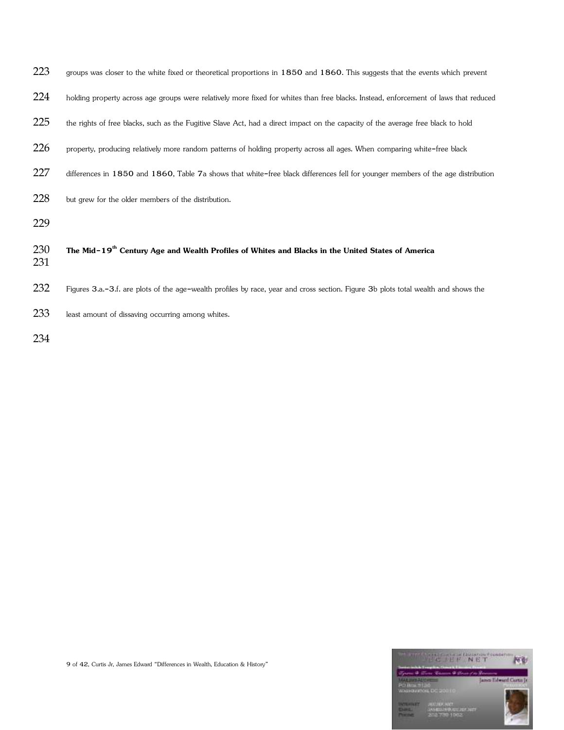| 223        | groups was closer to the white fixed or theoretical proportions in 1850 and 1860. This suggests that the events which prevent        |
|------------|--------------------------------------------------------------------------------------------------------------------------------------|
| 224        | holding property across age groups were relatively more fixed for whites than free blacks. Instead, enforcement of laws that reduced |
| 225        | the rights of free blacks, such as the Fugitive Slave Act, had a direct impact on the capacity of the average free black to hold     |
| 226        | property, producing relatively more random patterns of holding property across all ages. When comparing white-free black             |
| 227        | differences in 1850 and 1860, Table 7a shows that white-free black differences fell for younger members of the age distribution      |
| 228        | but grew for the older members of the distribution.                                                                                  |
| 229        |                                                                                                                                      |
| 230<br>231 | The Mid-19 <sup>th</sup> Century Age and Wealth Profiles of Whites and Blacks in the United States of America                        |
| 232        | Figures 3.a.-3.f. are plots of the age-wealth profiles by race, year and cross section. Figure 3b plots total wealth and shows the   |
| 233        | least amount of dissaving occurring among whites.                                                                                    |
| 234        |                                                                                                                                      |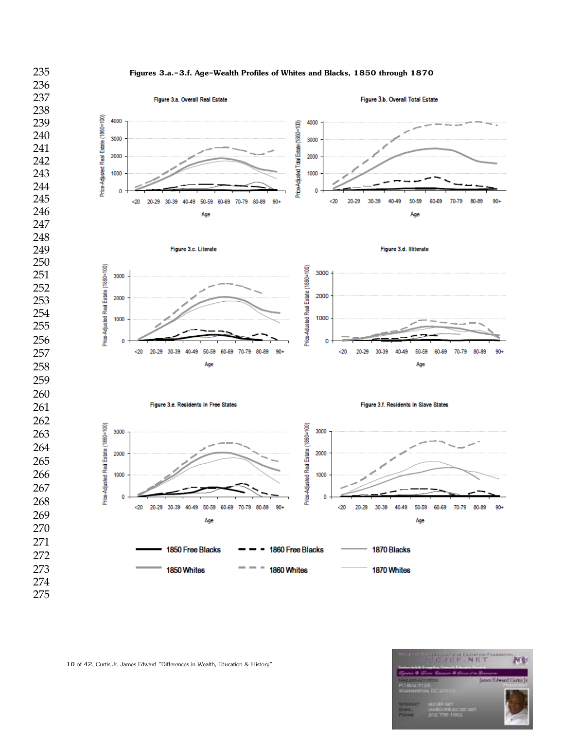



10 of 42, Curtis Jr, James Edward "Differences in Wealth, Education & History"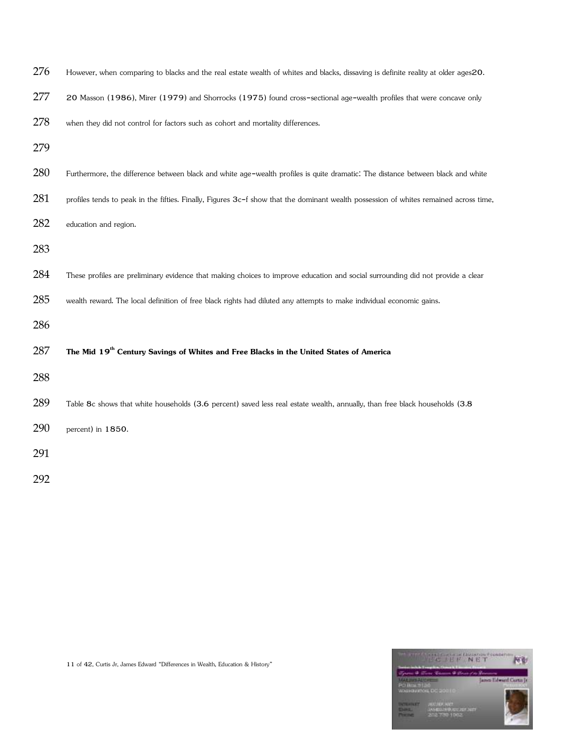| 276 | However, when comparing to blacks and the real estate wealth of whites and blacks, dissaving is definite reality at older ages20.     |
|-----|---------------------------------------------------------------------------------------------------------------------------------------|
| 277 | 20 Masson (1986), Mirer (1979) and Shorrocks (1975) found cross-sectional age-wealth profiles that were concave only                  |
| 278 | when they did not control for factors such as cohort and mortality differences.                                                       |
| 279 |                                                                                                                                       |
| 280 | Furthermore, the difference between black and white age-wealth profiles is quite dramatic. The distance between black and white       |
| 281 | profiles tends to peak in the fifties. Finally, Figures 3c-f show that the dominant wealth possession of whites remained across time, |
| 282 | education and region.                                                                                                                 |
| 283 |                                                                                                                                       |
| 284 | These profiles are preliminary evidence that making choices to improve education and social surrounding did not provide a clear       |
| 285 | wealth reward. The local definition of free black rights had diluted any attempts to make individual economic gains.                  |
| 286 |                                                                                                                                       |
| 287 | The Mid 19 <sup>th</sup> Century Savings of Whites and Free Blacks in the United States of America                                    |
| 288 |                                                                                                                                       |
| 289 | Table 8c shows that white households (3.6 percent) saved less real estate wealth, annually, than free black households (3.8           |
| 290 | percent) in 1850.                                                                                                                     |
| 291 |                                                                                                                                       |
| 292 |                                                                                                                                       |

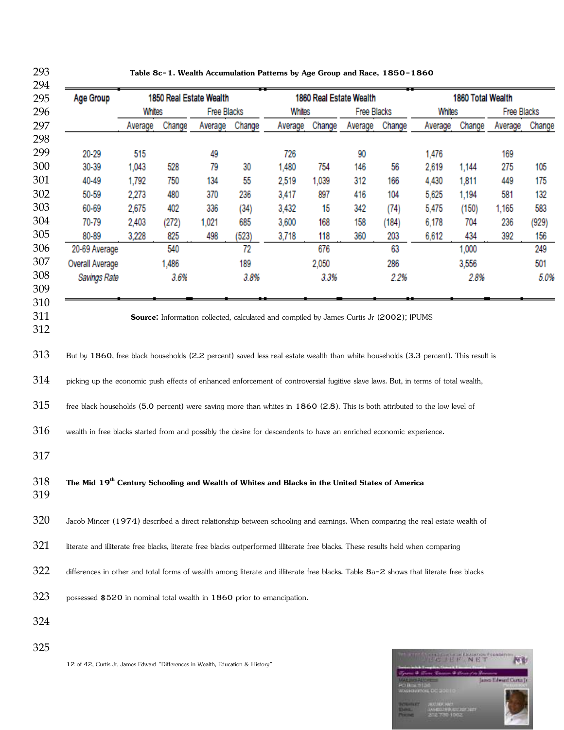| Age Group                                                                                                                                                                                                                                                                                                                                                                                                                                                                                                                                                                                                                                                                                                                                                                                                                                                                                                                                                                                                                                                                                                                         |                |              | 1850 Real Estate Wealth |                    | 1860 Real Estate Wealth                                                                 |           |            |              | 1860 Total Wealth |              |              |              |
|-----------------------------------------------------------------------------------------------------------------------------------------------------------------------------------------------------------------------------------------------------------------------------------------------------------------------------------------------------------------------------------------------------------------------------------------------------------------------------------------------------------------------------------------------------------------------------------------------------------------------------------------------------------------------------------------------------------------------------------------------------------------------------------------------------------------------------------------------------------------------------------------------------------------------------------------------------------------------------------------------------------------------------------------------------------------------------------------------------------------------------------|----------------|--------------|-------------------------|--------------------|-----------------------------------------------------------------------------------------|-----------|------------|--------------|-------------------|--------------|--------------|--------------|
|                                                                                                                                                                                                                                                                                                                                                                                                                                                                                                                                                                                                                                                                                                                                                                                                                                                                                                                                                                                                                                                                                                                                   | Whites         |              |                         | <b>Free Blacks</b> |                                                                                         | Whites    |            | Free Blacks  | Whites            |              | Free Blacks  |              |
|                                                                                                                                                                                                                                                                                                                                                                                                                                                                                                                                                                                                                                                                                                                                                                                                                                                                                                                                                                                                                                                                                                                                   | Average        | Change       | Average                 | Change             | Average                                                                                 | Change    | Average    | Change       | Average           | Change       | Average      | Change       |
|                                                                                                                                                                                                                                                                                                                                                                                                                                                                                                                                                                                                                                                                                                                                                                                                                                                                                                                                                                                                                                                                                                                                   |                |              |                         |                    |                                                                                         |           |            |              |                   |              |              |              |
| 20-29                                                                                                                                                                                                                                                                                                                                                                                                                                                                                                                                                                                                                                                                                                                                                                                                                                                                                                                                                                                                                                                                                                                             | 515            |              | 49                      |                    | 726                                                                                     |           | 90         |              | 1,476             |              | 169          |              |
| 30-39                                                                                                                                                                                                                                                                                                                                                                                                                                                                                                                                                                                                                                                                                                                                                                                                                                                                                                                                                                                                                                                                                                                             | 1,043          | 528          | 79                      | 30                 | 1,480                                                                                   | 754       | 146        | 56           | 2,619             | 1,144        | 275          | 105          |
| 40-49                                                                                                                                                                                                                                                                                                                                                                                                                                                                                                                                                                                                                                                                                                                                                                                                                                                                                                                                                                                                                                                                                                                             | 1,792          | 750          | 134                     | 55                 | 2,519                                                                                   | 1,039     | 312        | 166          | 4,430             | 1,811        | 449          | 175          |
| 50-59                                                                                                                                                                                                                                                                                                                                                                                                                                                                                                                                                                                                                                                                                                                                                                                                                                                                                                                                                                                                                                                                                                                             | 2,273          | 480<br>402   | 370<br>336              | 236                | 3,417                                                                                   | 897       | 416        | 104          | 5,625             | 1,194        | 581          | 132          |
| 60-69<br>70-79                                                                                                                                                                                                                                                                                                                                                                                                                                                                                                                                                                                                                                                                                                                                                                                                                                                                                                                                                                                                                                                                                                                    | 2,675<br>2,403 |              | 1,021                   | (34)<br>685        | 3,432<br>3,600                                                                          | 15<br>168 | 342<br>158 | (74)         | 5,475<br>6,178    | (150)<br>704 | 1,165<br>236 | 583          |
| 80-89                                                                                                                                                                                                                                                                                                                                                                                                                                                                                                                                                                                                                                                                                                                                                                                                                                                                                                                                                                                                                                                                                                                             | 3,228          | (272)<br>825 | 498                     | (523)              | 3,718                                                                                   | 118       | 360        | (184)<br>203 | 6,612             | 434          | 392          | (929)<br>156 |
| 20-69 Average                                                                                                                                                                                                                                                                                                                                                                                                                                                                                                                                                                                                                                                                                                                                                                                                                                                                                                                                                                                                                                                                                                                     |                | 540          |                         | 72                 |                                                                                         | 676       |            | 63           |                   | 1,000        |              | 249          |
| <b>Overall Average</b>                                                                                                                                                                                                                                                                                                                                                                                                                                                                                                                                                                                                                                                                                                                                                                                                                                                                                                                                                                                                                                                                                                            |                | 1,486        |                         | 189                |                                                                                         | 2,050     |            | 286          |                   | 3,556        |              | 501          |
| Savings Rate                                                                                                                                                                                                                                                                                                                                                                                                                                                                                                                                                                                                                                                                                                                                                                                                                                                                                                                                                                                                                                                                                                                      |                | 3.6%         |                         | 3.8%               |                                                                                         | 3.3%      |            | 2.2%         |                   | 2.8%         |              | 5.0%         |
|                                                                                                                                                                                                                                                                                                                                                                                                                                                                                                                                                                                                                                                                                                                                                                                                                                                                                                                                                                                                                                                                                                                                   |                |              |                         |                    |                                                                                         |           |            |              |                   |              |              |              |
|                                                                                                                                                                                                                                                                                                                                                                                                                                                                                                                                                                                                                                                                                                                                                                                                                                                                                                                                                                                                                                                                                                                                   |                |              |                         |                    |                                                                                         |           |            |              |                   |              |              |              |
|                                                                                                                                                                                                                                                                                                                                                                                                                                                                                                                                                                                                                                                                                                                                                                                                                                                                                                                                                                                                                                                                                                                                   |                |              |                         |                    | Source: Information collected, calculated and compiled by James Curtis Jr (2002); IPUMS |           |            |              |                   |              |              |              |
|                                                                                                                                                                                                                                                                                                                                                                                                                                                                                                                                                                                                                                                                                                                                                                                                                                                                                                                                                                                                                                                                                                                                   |                |              |                         |                    |                                                                                         |           |            |              |                   |              |              |              |
|                                                                                                                                                                                                                                                                                                                                                                                                                                                                                                                                                                                                                                                                                                                                                                                                                                                                                                                                                                                                                                                                                                                                   |                |              |                         |                    |                                                                                         |           |            |              |                   |              |              |              |
|                                                                                                                                                                                                                                                                                                                                                                                                                                                                                                                                                                                                                                                                                                                                                                                                                                                                                                                                                                                                                                                                                                                                   |                |              |                         |                    |                                                                                         |           |            |              |                   |              |              |              |
|                                                                                                                                                                                                                                                                                                                                                                                                                                                                                                                                                                                                                                                                                                                                                                                                                                                                                                                                                                                                                                                                                                                                   |                |              |                         |                    |                                                                                         |           |            |              |                   |              |              |              |
|                                                                                                                                                                                                                                                                                                                                                                                                                                                                                                                                                                                                                                                                                                                                                                                                                                                                                                                                                                                                                                                                                                                                   |                |              |                         |                    |                                                                                         |           |            |              |                   |              |              |              |
|                                                                                                                                                                                                                                                                                                                                                                                                                                                                                                                                                                                                                                                                                                                                                                                                                                                                                                                                                                                                                                                                                                                                   |                |              |                         |                    |                                                                                         |           |            |              |                   |              |              |              |
|                                                                                                                                                                                                                                                                                                                                                                                                                                                                                                                                                                                                                                                                                                                                                                                                                                                                                                                                                                                                                                                                                                                                   |                |              |                         |                    |                                                                                         |           |            |              |                   |              |              |              |
|                                                                                                                                                                                                                                                                                                                                                                                                                                                                                                                                                                                                                                                                                                                                                                                                                                                                                                                                                                                                                                                                                                                                   |                |              |                         |                    |                                                                                         |           |            |              |                   |              |              |              |
| But by 1860, free black households (2.2 percent) saved less real estate wealth than white households (3.3 percent). This result is<br>picking up the economic push effects of enhanced enforcement of controversial fugitive slave laws. But, in terms of total wealth,<br>free black households (5.0 percent) were saving more than whites in 1860 (2.8). This is both attributed to the low level of<br>wealth in free blacks started from and possibly the desire for descendents to have an enriched economic experience.<br>The Mid 19 <sup>th</sup> Century Schooling and Wealth of Whites and Blacks in the United States of America<br>Jacob Mincer (1974) described a direct relationship between schooling and earnings. When comparing the real estate wealth of<br>literate and illiterate free blacks, literate free blacks outperformed illiterate free blacks. These results held when comparing<br>differences in other and total forms of wealth among literate and illiterate free blacks. Table 8a-2 shows that literate free blacks<br>possessed \$520 in nominal total wealth in 1860 prior to emancipation. |                |              |                         |                    |                                                                                         |           |            |              |                   |              |              |              |



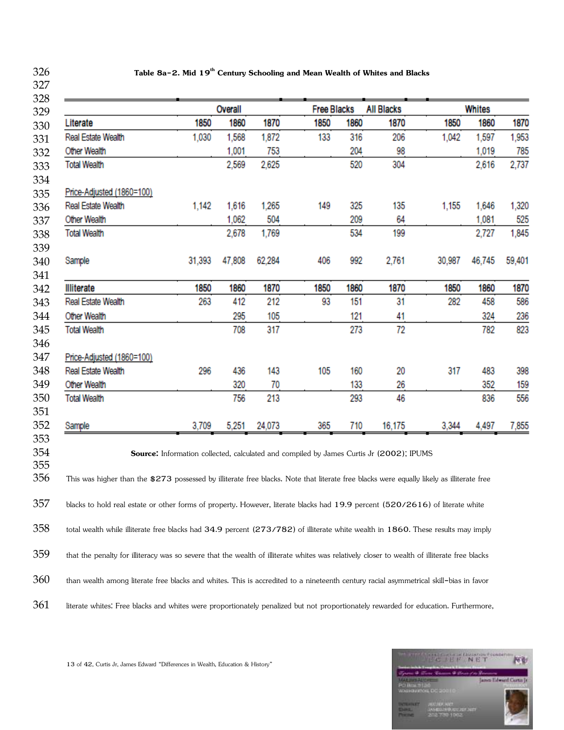**Table 8a-2. Mid 19th Century Schooling and Mean Wealth of Whites and Blacks** 

| 1850<br>1,030<br>1,142 | 1860<br>1,568<br>1,001<br>2,569<br>1,616<br>1,062 | 1870<br>1,872<br>753<br>2,625<br>1,265 | <b>Free Blacks</b><br>1850<br>133<br>149 | 1860<br>316<br>204<br>520<br>325 | <b>All Blacks</b><br>1870<br>206<br>98<br>304 | 1850<br>1,042                | 1860<br>1,597<br>1,019<br>2,616                                                                                      | 1870<br>1,953                    |
|------------------------|---------------------------------------------------|----------------------------------------|------------------------------------------|----------------------------------|-----------------------------------------------|------------------------------|----------------------------------------------------------------------------------------------------------------------|----------------------------------|
|                        |                                                   |                                        |                                          |                                  |                                               |                              |                                                                                                                      |                                  |
|                        |                                                   |                                        |                                          |                                  |                                               |                              |                                                                                                                      | 785                              |
|                        |                                                   |                                        |                                          |                                  |                                               |                              |                                                                                                                      | 2,737                            |
|                        |                                                   |                                        |                                          |                                  |                                               |                              |                                                                                                                      |                                  |
|                        |                                                   |                                        |                                          |                                  |                                               |                              |                                                                                                                      |                                  |
|                        |                                                   |                                        |                                          |                                  | 135                                           | 1,155                        | 1,646                                                                                                                | 1,320                            |
|                        |                                                   | 504                                    |                                          | 209                              | 64                                            |                              | 1,081                                                                                                                | 525                              |
|                        | 2,678                                             | 1,769                                  |                                          | 534                              | 199                                           |                              | 2,727                                                                                                                | 1,845                            |
| 31,393                 | 47,808                                            | 62,284                                 | 406                                      | 992                              | 2,761                                         | 30,987                       | 46,745                                                                                                               | 59,401                           |
|                        |                                                   |                                        |                                          |                                  |                                               |                              |                                                                                                                      | 1870                             |
|                        |                                                   |                                        |                                          |                                  |                                               |                              |                                                                                                                      | 586                              |
|                        |                                                   |                                        |                                          |                                  |                                               |                              |                                                                                                                      | 236                              |
|                        |                                                   |                                        |                                          |                                  |                                               |                              |                                                                                                                      | 823                              |
|                        |                                                   |                                        |                                          |                                  |                                               |                              |                                                                                                                      |                                  |
|                        |                                                   |                                        |                                          |                                  |                                               |                              |                                                                                                                      |                                  |
|                        |                                                   |                                        |                                          |                                  |                                               |                              |                                                                                                                      | 398                              |
|                        | 320                                               | 70                                     |                                          | 133                              | 26                                            |                              | 352                                                                                                                  | 159                              |
|                        | 756                                               | 213                                    |                                          | 293                              | 46                                            |                              | 836                                                                                                                  | 556                              |
|                        |                                                   |                                        |                                          |                                  |                                               |                              |                                                                                                                      |                                  |
| 3,709                  | 5,251                                             | 24,073                                 | 365                                      | 710                              | 16,175                                        | 3,344                        | 4,497                                                                                                                | 7,855                            |
|                        | 1850<br>263<br>296                                | 1860<br>412<br>295<br>708<br>436       | 1870<br>212<br>105<br>317<br>143         | 1850<br>93<br>105                | 1860<br>151<br>121<br>273<br>160              | 1870<br>31<br>41<br>72<br>20 | 1850<br>282<br>317<br><b>Source:</b> Information collected, calculated and compiled by James Curtis Jr (2002); IPUMS | 1860<br>458<br>324<br>782<br>483 |

361 literate whites: Free blacks and whites were proportionately penalized but not proportionately rewarded for education. Furthermore,



13 of 42, Curtis Jr, James Edward "Differences in Wealth, Education & History"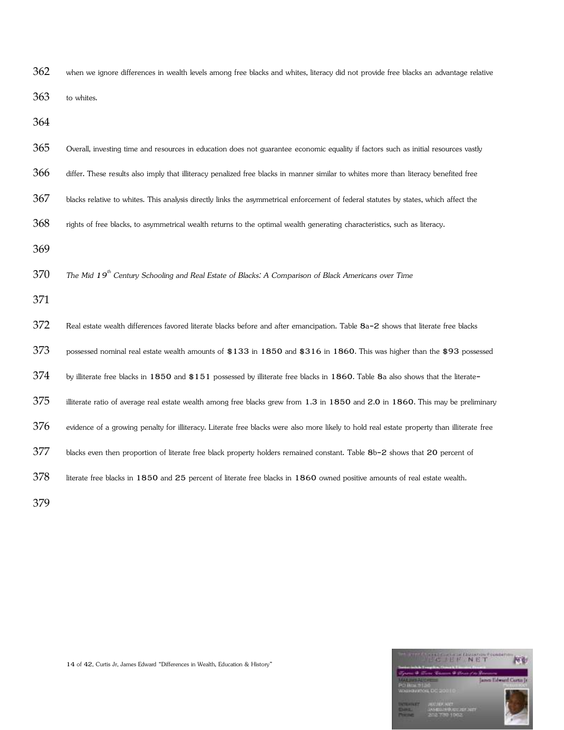| 362 | when we ignore differences in wealth levels among free blacks and whites, literacy did not provide free blacks an advantage relative       |
|-----|--------------------------------------------------------------------------------------------------------------------------------------------|
| 363 | to whites.                                                                                                                                 |
| 364 |                                                                                                                                            |
| 365 | Overall, investing time and resources in education does not guarantee economic equality if factors such as initial resources vastly        |
| 366 | differ. These results also imply that illiteracy penalized free blacks in manner similar to whites more than literacy benefited free       |
| 367 | blacks relative to whites. This analysis directly links the asymmetrical enforcement of federal statutes by states, which affect the       |
| 368 | rights of free blacks, to asymmetrical wealth returns to the optimal wealth generating characteristics, such as literacy.                  |
| 369 |                                                                                                                                            |
| 370 | The Mid 19 <sup>th</sup> Century Schooling and Real Estate of Blacks: A Comparison of Black Americans over Time                            |
| 371 |                                                                                                                                            |
| 372 | Real estate wealth differences favored literate blacks before and after emancipation. Table 8a-2 shows that literate free blacks           |
| 373 | possessed nominal real estate wealth amounts of \$133 in 1850 and \$316 in 1860. This was higher than the \$93 possessed                   |
| 374 | by illiterate free blacks in 1850 and \$151 possessed by illiterate free blacks in 1860. Table 8a also shows that the literate-            |
| 375 | illiterate ratio of average real estate wealth among free blacks grew from 1.3 in 1850 and 2.0 in 1860. This may be preliminary            |
| 376 | evidence of a growing penalty for illiteracy. Literate free blacks were also more likely to hold real estate property than illiterate free |
| 377 | blacks even then proportion of literate free black property holders remained constant. Table 8b-2 shows that 20 percent of                 |
| 378 | literate free blacks in 1850 and 25 percent of literate free blacks in 1860 owned positive amounts of real estate wealth.                  |
| 379 |                                                                                                                                            |

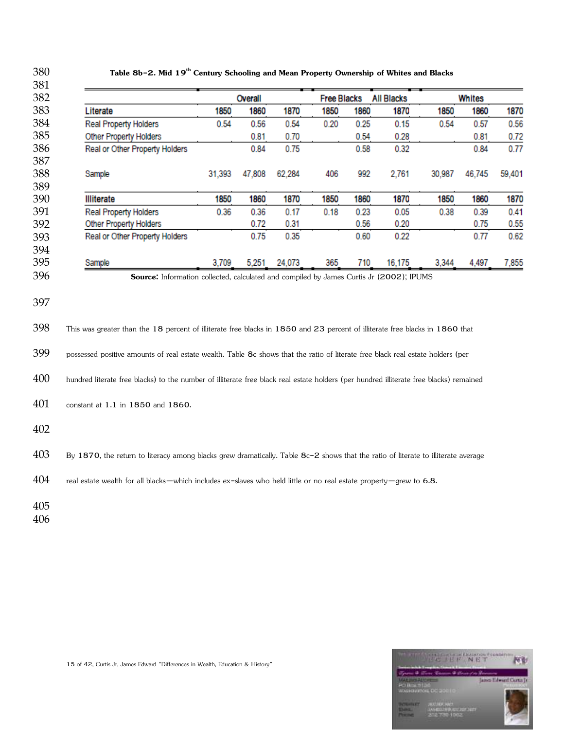| Literate                                                                                                                               | 1850   | Overall<br>1860 | 1870   | <b>Free Blacks</b><br>1850 | 1860 | <b>All Blacks</b><br>1870 | 1850   | Whites<br>1860 | 1870   |
|----------------------------------------------------------------------------------------------------------------------------------------|--------|-----------------|--------|----------------------------|------|---------------------------|--------|----------------|--------|
| <b>Real Property Holders</b>                                                                                                           | 0.54   | 0.56            | 0.54   | 0.20                       | 0.25 | 0.15                      | 0.54   | 0.57           | 0.56   |
| Other Property Holders                                                                                                                 |        | 0.81            | 0.70   |                            | 0.54 | 0.28                      |        | 0.81           | 0.72   |
| Real or Other Property Holders                                                                                                         |        | 0.84            | 0.75   |                            | 0.58 | 0.32                      |        | 0.84           | 0.77   |
| Sample                                                                                                                                 | 31,393 | 47,808          | 62,284 | 406                        | 992  | 2,761                     | 30,987 | 46,745         | 59,401 |
| <b>Illiterate</b>                                                                                                                      | 1850   | 1860            | 1870   | 1850                       | 1860 | 1870                      | 1850   | 1860           | 1870   |
| <b>Real Property Holders</b>                                                                                                           | 0.36   | 0.36            | 0.17   | 0.18                       | 0.23 | 0.05                      | 0.38   | 0.39           | 0.41   |
| <b>Other Property Holders</b>                                                                                                          |        | 0.72            | 0.31   |                            | 0.56 | 0.20                      |        | 0.75           | 0.55   |
| Real or Other Property Holders                                                                                                         |        | 0.75            | 0.35   |                            | 0.60 | 0.22                      |        | 0.77           | 0.62   |
| Sample                                                                                                                                 | 3,709  | 5,251           | 24,073 | 365                        | 710  | 16,175                    | 3,344  | 4,497          | 7,855  |
| possessed positive amounts of real estate wealth. Table 8c shows that the ratio of literate free black real estate holders (per        |        |                 |        |                            |      |                           |        |                |        |
| hundred literate free blacks) to the number of illiterate free black real estate holders (per hundred illiterate free blacks) remained |        |                 |        |                            |      |                           |        |                |        |
| constant at 1.1 in 1850 and 1860.                                                                                                      |        |                 |        |                            |      |                           |        |                |        |
|                                                                                                                                        |        |                 |        |                            |      |                           |        |                |        |
| By 1870, the return to literacy among blacks grew dramatically. Table 8c-2 shows that the ratio of literate to illiterate average      |        |                 |        |                            |      |                           |        |                |        |
|                                                                                                                                        |        |                 |        |                            |      |                           |        |                |        |
| real estate wealth for all blacks-which includes ex-slaves who held little or no real estate property-grew to 6.8.                     |        |                 |        |                            |      |                           |        |                |        |
|                                                                                                                                        |        |                 |        |                            |      |                           |        |                |        |



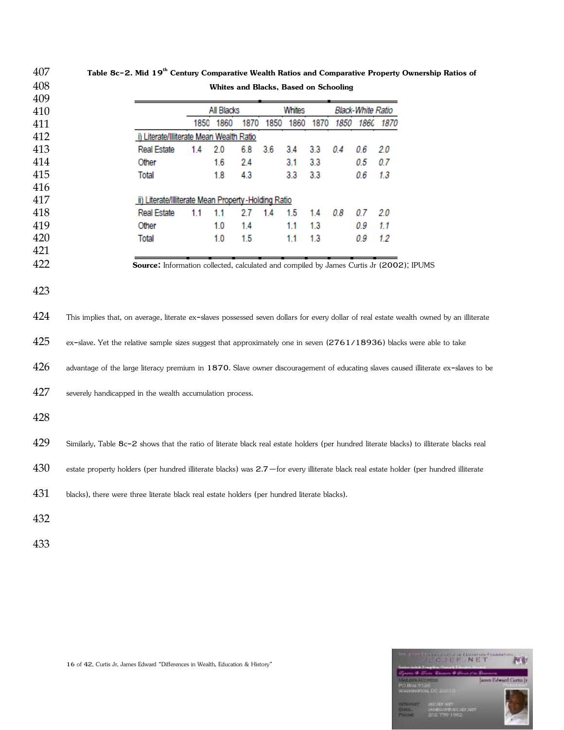| 407        |                                                                                                                                          | Table 8c-2. Mid 19 <sup>th</sup> Century Comparative Wealth Ratios and Comparative Property Ownership Ratios of |     |                                              |      |      |            |            |      |                          |      |  |  |  |
|------------|------------------------------------------------------------------------------------------------------------------------------------------|-----------------------------------------------------------------------------------------------------------------|-----|----------------------------------------------|------|------|------------|------------|------|--------------------------|------|--|--|--|
| 408        |                                                                                                                                          |                                                                                                                 |     | <b>Whites and Blacks, Based on Schooling</b> |      |      |            |            |      |                          |      |  |  |  |
| 409        |                                                                                                                                          |                                                                                                                 |     |                                              |      |      |            |            |      |                          |      |  |  |  |
| 410        |                                                                                                                                          |                                                                                                                 |     | All Blacks                                   |      |      | Whites     |            |      | <b>Black-White Ratio</b> |      |  |  |  |
| 411        |                                                                                                                                          |                                                                                                                 |     | 1850 1860                                    | 1870 | 1850 | 1860       | 1870       | 1850 | 1860                     | 1870 |  |  |  |
| 412        |                                                                                                                                          | i) Literate/Illiterate Mean Wealth Ratio                                                                        |     |                                              |      |      |            |            |      |                          |      |  |  |  |
| 413        |                                                                                                                                          | <b>Real Estate</b>                                                                                              | 1.4 | 2.0                                          | 6.8  | 3.6  | 3.4        | 3.3        | 0.4  | 0.6                      | 2.0  |  |  |  |
| 414        |                                                                                                                                          | Other                                                                                                           |     | 1.6                                          | 2.4  |      | 3.1        | 3.3        |      | 0.5                      | 0.7  |  |  |  |
| 415        |                                                                                                                                          | Total                                                                                                           |     | 1.8                                          | 4.3  |      | 3.3        | 3.3        |      | 0.6                      | 1.3  |  |  |  |
| 416        |                                                                                                                                          |                                                                                                                 |     |                                              |      |      |            |            |      |                          |      |  |  |  |
| 417<br>418 |                                                                                                                                          | ii) Literate/Illiterate Mean Property-Holding Ratio<br><b>Real Estate</b>                                       | 1.1 | 1.1                                          | 2.7  | 1.4  |            |            | 0.8  |                          | 2.0  |  |  |  |
| 419        |                                                                                                                                          | Other                                                                                                           |     | 1.0                                          | 1.4  |      | 1.5<br>1.1 | 1.4<br>1.3 |      | 0.7<br>0.9               | 1.1  |  |  |  |
| 420        |                                                                                                                                          | Total                                                                                                           |     | 1.0                                          | 1.5  |      | 1.1        | 1.3        |      | 0.9                      | 1.2  |  |  |  |
| 421        |                                                                                                                                          |                                                                                                                 |     |                                              |      |      |            |            |      |                          |      |  |  |  |
| 422        |                                                                                                                                          | Source: Information collected, calculated and compiled by James Curtis Jr (2002); IPUMS                         |     |                                              |      |      |            |            |      |                          |      |  |  |  |
| 423        |                                                                                                                                          |                                                                                                                 |     |                                              |      |      |            |            |      |                          |      |  |  |  |
| 424        | This implies that, on average, literate ex-slaves possessed seven dollars for every dollar of real estate wealth owned by an illiterate  |                                                                                                                 |     |                                              |      |      |            |            |      |                          |      |  |  |  |
| 425        | ex-slave. Yet the relative sample sizes suggest that approximately one in seven (2761/18936) blacks were able to take                    |                                                                                                                 |     |                                              |      |      |            |            |      |                          |      |  |  |  |
| 426        | advantage of the large literacy premium in 1870. Slave owner discouragement of educating slaves caused illiterate ex-slaves to be        |                                                                                                                 |     |                                              |      |      |            |            |      |                          |      |  |  |  |
| 427        | severely handicapped in the wealth accumulation process.                                                                                 |                                                                                                                 |     |                                              |      |      |            |            |      |                          |      |  |  |  |
| 428        |                                                                                                                                          |                                                                                                                 |     |                                              |      |      |            |            |      |                          |      |  |  |  |
| 429        | Similarly, Table 8c-2 shows that the ratio of literate black real estate holders (per hundred literate blacks) to illiterate blacks real |                                                                                                                 |     |                                              |      |      |            |            |      |                          |      |  |  |  |
| 430        | estate property holders (per hundred illiterate blacks) was 2.7 - for every illiterate black real estate holder (per hundred illiterate  |                                                                                                                 |     |                                              |      |      |            |            |      |                          |      |  |  |  |
| 431        | blacks), there were three literate black real estate holders (per hundred literate blacks).                                              |                                                                                                                 |     |                                              |      |      |            |            |      |                          |      |  |  |  |
| 432        |                                                                                                                                          |                                                                                                                 |     |                                              |      |      |            |            |      |                          |      |  |  |  |
| 433        |                                                                                                                                          |                                                                                                                 |     |                                              |      |      |            |            |      |                          |      |  |  |  |

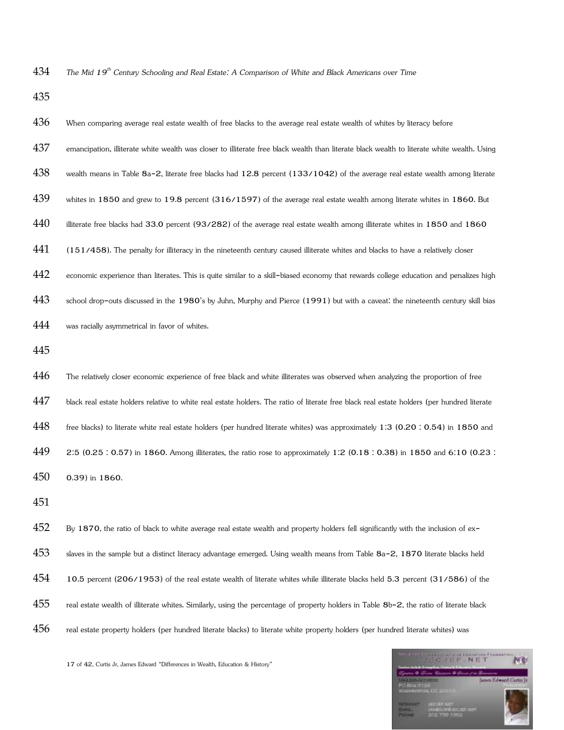*The Mid 19th Century Schooling and Real Estate: A Comparison of White and Black Americans over Time* 

| 436 | When comparing average real estate wealth of free blacks to the average real estate wealth of whites by literacy before                     |
|-----|---------------------------------------------------------------------------------------------------------------------------------------------|
| 437 | emancipation, illiterate white wealth was closer to illiterate free black wealth than literate black wealth to literate white wealth. Using |
| 438 | wealth means in Table 8a-2, literate free blacks had 12.8 percent (133/1042) of the average real estate wealth among literate               |
| 439 | whites in 1850 and grew to 19.8 percent $(316/1597)$ of the average real estate wealth among literate whites in 1860. But                   |
| 440 | illiterate free blacks had 33.0 percent (93/282) of the average real estate wealth among illiterate whites in 1850 and 1860                 |
| 441 | (151/458). The penalty for illiteracy in the nineteenth century caused illiterate whites and blacks to have a relatively closer             |
| 442 | economic experience than literates. This is quite similar to a skill-biased economy that rewards college education and penalizes high       |
| 443 | school drop-outs discussed in the 1980's by Juhn, Murphy and Pierce (1991) but with a caveat: the nineteenth century skill bias             |
| 444 | was racially asymmetrical in favor of whites.                                                                                               |
| 445 |                                                                                                                                             |
| 446 | The relatively closer economic experience of free black and white illiterates was observed when analyzing the proportion of free            |
| 447 | black real estate holders relative to white real estate holders. The ratio of literate free black real estate holders (per hundred literate |
| 448 | free blacks) to literate white real estate holders (per hundred literate whites) was approximately 1:3 (0.20:0.54) in 1850 and              |
| 449 | 2.5 (0.25 : 0.57) in 1860. Among illiterates, the ratio rose to approximately 1.2 (0.18 : 0.38) in 1850 and 6.10 (0.23 :                    |
| 450 | 0.39) in 1860.                                                                                                                              |
| 451 |                                                                                                                                             |
| 452 | By 1870, the ratio of black to white average real estate wealth and property holders fell significantly with the inclusion of ex-           |
| 453 | slaves in the sample but a distinct literacy advantage emerged. Using wealth means from Table 8a-2, 1870 literate blacks held               |
| 454 | 10.5 percent (206/1953) of the real estate wealth of literate whites while illiterate blacks held 5.3 percent (31/586) of the               |
| 455 | real estate wealth of illiterate whites. Similarly, using the percentage of property holders in Table 8b-2, the ratio of literate black     |

456 real estate property holders (per hundred literate blacks) to literate white property holders (per hundred literate whites) was

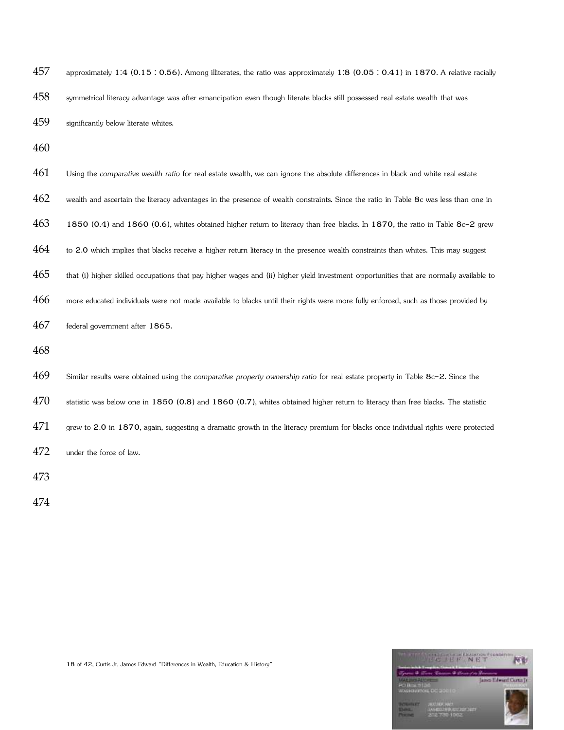| 457 | approximately 1:4 (0.15 : 0.56). Among illiterates, the ratio was approximately 1:8 (0.05 : 0.41) in 1870. A relative racially          |
|-----|-----------------------------------------------------------------------------------------------------------------------------------------|
| 458 | symmetrical literacy advantage was after emancipation even though literate blacks still possessed real estate wealth that was           |
| 459 | significantly below literate whites.                                                                                                    |
| 460 |                                                                                                                                         |
| 461 | Using the comparative wealth ratio for real estate wealth, we can ignore the absolute differences in black and white real estate        |
| 462 | wealth and ascertain the literacy advantages in the presence of wealth constraints. Since the ratio in Table 8c was less than one in    |
| 463 | 1850 (0.4) and 1860 (0.6), whites obtained higher return to literacy than free blacks. In 1870, the ratio in Table 8c-2 grew            |
| 464 | to 2.0 which implies that blacks receive a higher return literacy in the presence wealth constraints than whites. This may suggest      |
| 465 | that (i) higher skilled occupations that pay higher wages and (ii) higher yield investment opportunities that are normally available to |
| 466 | more educated individuals were not made available to blacks until their rights were more fully enforced, such as those provided by      |
| 467 | federal government after 1865.                                                                                                          |
| 468 |                                                                                                                                         |
| 469 | Similar results were obtained using the comparative property ownership ratio for real estate property in Table 8c-2. Since the          |
| 470 | statistic was below one in $1850(0.8)$ and $1860(0.7)$ , whites obtained higher return to literacy than free blacks. The statistic      |
| 471 | grew to 2.0 in 1870, again, suggesting a dramatic growth in the literacy premium for blacks once individual rights were protected       |
| 472 | under the force of law.                                                                                                                 |
| 473 |                                                                                                                                         |

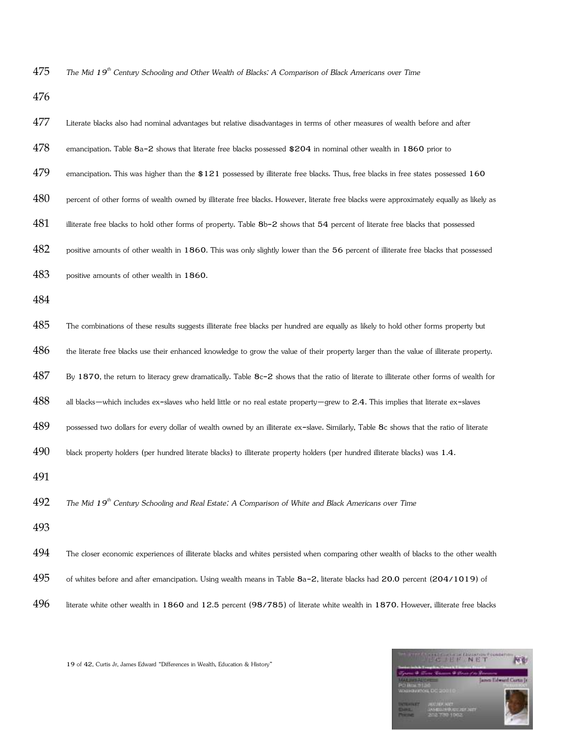*The Mid 19th Century Schooling and Other Wealth of Blacks: A Comparison of Black Americans over Time* 

| 477 | Literate blacks also had nominal advantages but relative disadvantages in terms of other measures of wealth before and after            |
|-----|-----------------------------------------------------------------------------------------------------------------------------------------|
| 478 | emancipation. Table 8a-2 shows that literate free blacks possessed \$204 in nominal other wealth in 1860 prior to                       |
| 479 | emancipation. This was higher than the $$121$ possessed by illiterate free blacks. Thus, free blacks in free states possessed $160$     |
| 480 | percent of other forms of wealth owned by illiterate free blacks. However, literate free blacks were approximately equally as likely as |
| 481 | illiterate free blacks to hold other forms of property. Table 8b-2 shows that 54 percent of literate free blacks that possessed         |
| 482 | positive amounts of other wealth in 1860. This was only slightly lower than the 56 percent of illiterate free blacks that possessed     |
| 483 | positive amounts of other wealth in 1860.                                                                                               |
| 484 |                                                                                                                                         |
| 485 | The combinations of these results suggests illiterate free blacks per hundred are equally as likely to hold other forms property but    |
| 486 | the literate free blacks use their enhanced knowledge to grow the value of their property larger than the value of illiterate property. |
| 487 | By 1870, the return to literacy grew dramatically. Table 8c-2 shows that the ratio of literate to illiterate other forms of wealth for  |
| 488 | all blacks-which includes ex-slaves who held little or no real estate property-grew to 2.4. This implies that literate ex-slaves        |
| 489 | possessed two dollars for every dollar of wealth owned by an illiterate ex-slave. Similarly, Table 8c shows that the ratio of literate  |
| 490 | black property holders (per hundred literate blacks) to illiterate property holders (per hundred illiterate blacks) was 1.4.            |
| 491 |                                                                                                                                         |
| 492 | The Mid 19 <sup>th</sup> Century Schooling and Real Estate: A Comparison of White and Black Americans over Time                         |
| 493 |                                                                                                                                         |
| 494 | The closer economic experiences of illiterate blacks and whites persisted when comparing other wealth of blacks to the other wealth     |
| 495 | of whites before and after emancipation. Using wealth means in Table 8a-2, literate blacks had 20.0 percent (204/1019) of               |
| 496 | literate white other wealth in 1860 and 12.5 percent (98/785) of literate white wealth in 1870. However, illiterate free blacks         |

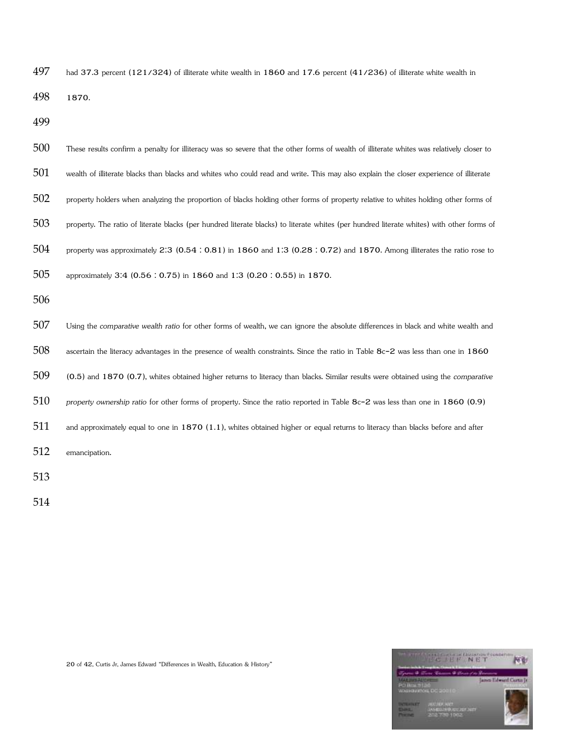had 37.3 percent (121/324) of illiterate white wealth in 1860 and 17.6 percent (41/236) of illiterate white wealth in

1870.

| 500 | These results confirm a penalty for illiteracy was so severe that the other forms of wealth of illiterate whites was relatively closer to |
|-----|-------------------------------------------------------------------------------------------------------------------------------------------|
| 501 | wealth of illiterate blacks than blacks and whites who could read and write. This may also explain the closer experience of illiterate    |
| 502 | property holders when analyzing the proportion of blacks holding other forms of property relative to whites holding other forms of        |
| 503 | property. The ratio of literate blacks (per hundred literate blacks) to literate whites (per hundred literate whites) with other forms of |
| 504 | property was approximately 2:3 (0.54 : 0.81) in 1860 and 1:3 (0.28 : 0.72) and 1870. Among illiterates the ratio rose to                  |
| 505 | approximately 3.4 (0.56 : 0.75) in 1860 and 1:3 (0.20 : 0.55) in 1870.                                                                    |
| 506 |                                                                                                                                           |
| 507 | Using the comparative wealth ratio for other forms of wealth, we can ignore the absolute differences in black and white wealth and        |
| 508 | ascertain the literacy advantages in the presence of wealth constraints. Since the ratio in Table 8c-2 was less than one in 1860          |
| 509 | (0.5) and 1870 (0.7), whites obtained higher returns to literacy than blacks. Similar results were obtained using the comparative         |
| 510 | property ownership ratio for other forms of property. Since the ratio reported in Table 8c-2 was less than one in 1860 (0.9)              |
| 511 | and approximately equal to one in $1870$ (1.1), whites obtained higher or equal returns to literacy than blacks before and after          |
| 512 | emancipation.                                                                                                                             |
| 513 |                                                                                                                                           |

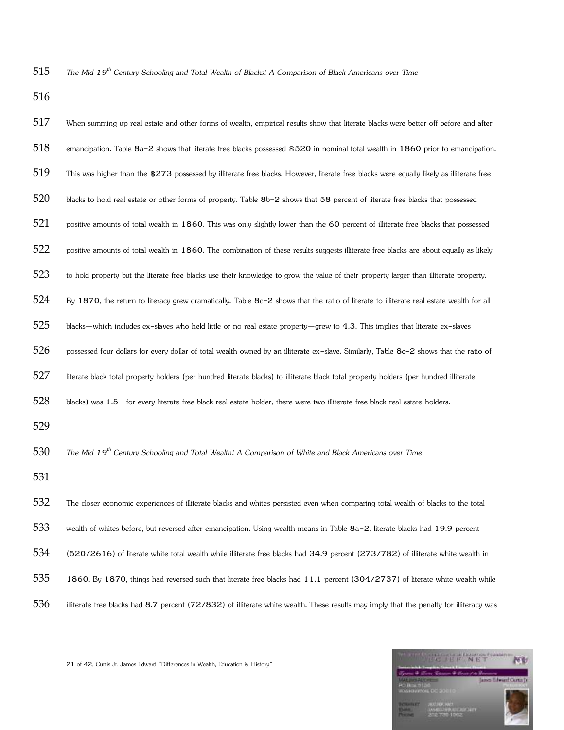*The Mid 19th Century Schooling and Total Wealth of Blacks: A Comparison of Black Americans over Time* 

| 517 | When summing up real estate and other forms of wealth, empirical results show that literate blacks were better off before and after      |
|-----|------------------------------------------------------------------------------------------------------------------------------------------|
| 518 | emancipation. Table 8a-2 shows that literate free blacks possessed \$520 in nominal total wealth in 1860 prior to emancipation.          |
| 519 | This was higher than the \$273 possessed by illiterate free blacks. However, literate free blacks were equally likely as illiterate free |
| 520 | blacks to hold real estate or other forms of property. Table 8b-2 shows that 58 percent of literate free blacks that possessed           |
| 521 | positive amounts of total wealth in 1860. This was only slightly lower than the 60 percent of illiterate free blacks that possessed      |
| 522 | positive amounts of total wealth in 1860. The combination of these results suggests illiterate free blacks are about equally as likely   |
| 523 | to hold property but the literate free blacks use their knowledge to grow the value of their property larger than illiterate property.   |
| 524 | By 1870, the return to literacy grew dramatically. Table 8c-2 shows that the ratio of literate to illiterate real estate wealth for all  |
| 525 | blacks-which includes ex-slaves who held little or no real estate property-grew to 4.3. This implies that literate ex-slaves             |
| 526 | possessed four dollars for every dollar of total wealth owned by an illiterate ex-slave. Similarly, Table 8c-2 shows that the ratio of   |
| 527 | literate black total property holders (per hundred literate blacks) to illiterate black total property holders (per hundred illiterate   |
| 528 | blacks) was 1.5-for every literate free black real estate holder, there were two illiterate free black real estate holders.              |
| 529 |                                                                                                                                          |
| 530 | The Mid 19 <sup>th</sup> Century Schooling and Total Wealth: A Comparison of White and Black Americans over Time                         |
| 531 |                                                                                                                                          |
| 532 | The closer economic experiences of illiterate blacks and whites persisted even when comparing total wealth of blacks to the total        |
| 533 | wealth of whites before, but reversed after emancipation. Using wealth means in Table 8a-2, literate blacks had 19.9 percent             |
| 534 | (520/2616) of literate white total wealth while illiterate free blacks had 34.9 percent (273/782) of illiterate white wealth in          |
| 535 | 1860. By 1870, things had reversed such that literate free blacks had 11.1 percent (304/2737) of literate white wealth while             |
| 536 | illiterate free blacks had 8.7 percent (72/832) of illiterate white wealth. These results may imply that the penalty for illiteracy was  |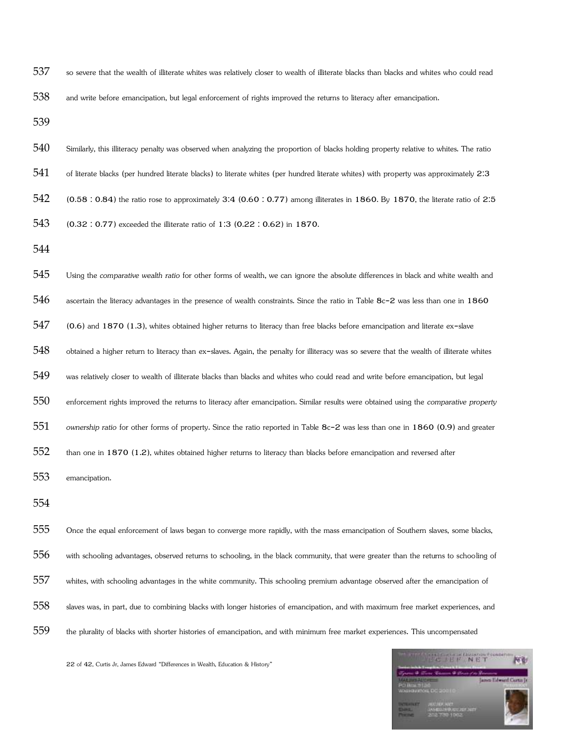- so severe that the wealth of illiterate whites was relatively closer to wealth of illiterate blacks than blacks and whites who could read
- and write before emancipation, but legal enforcement of rights improved the returns to literacy after emancipation.

- Similarly, this illiteracy penalty was observed when analyzing the proportion of blacks holding property relative to whites. The ratio
- 541 of literate blacks (per hundred literate blacks) to literate whites (per hundred literate whites) with property was approximately 2:3
- (0.58 : 0.84) the ratio rose to approximately 3:4 (0.60 : 0.77) among illiterates in 1860. By 1870, the literate ratio of 2:5
- (0.32 : 0.77) exceeded the illiterate ratio of 1:3 (0.22 : 0.62) in 1870.
- 
- ascertain the literacy advantages in the presence of wealth constraints. Since the ratio in Table 8c-2 was less than one in 1860 (0.6) and 1870 (1.3), whites obtained higher returns to literacy than free blacks before emancipation and literate ex-slave 548 obtained a higher return to literacy than ex-slaves. Again, the penalty for illiteracy was so severe that the wealth of illiterate whites

Using the *comparative wealth ratio* for other forms of wealth, we can ignore the absolute differences in black and white wealth and

- was relatively closer to wealth of illiterate blacks than blacks and whites who could read and write before emancipation, but legal
- enforcement rights improved the returns to literacy after emancipation. Similar results were obtained using the *comparative property*
- *ownership ratio* for other forms of property. Since the ratio reported in Table 8c-2 was less than one in 1860 (0.9) and greater
- than one in 1870 (1.2), whites obtained higher returns to literacy than blacks before emancipation and reversed after
- emancipation.
- 
- Once the equal enforcement of laws began to converge more rapidly, with the mass emancipation of Southern slaves, some blacks, with schooling advantages, observed returns to schooling, in the black community, that were greater than the returns to schooling of whites, with schooling advantages in the white community. This schooling premium advantage observed after the emancipation of slaves was, in part, due to combining blacks with longer histories of emancipation, and with maximum free market experiences, and the plurality of blacks with shorter histories of emancipation, and with minimum free market experiences. This uncompensated

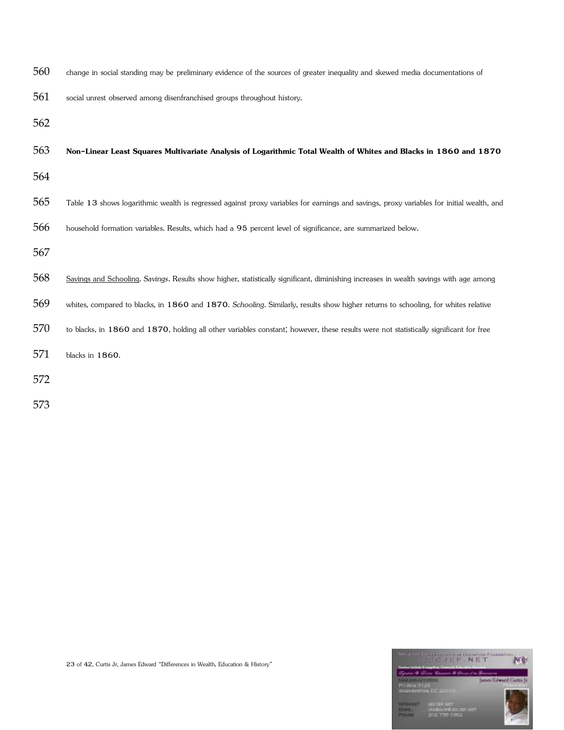- change in social standing may be preliminary evidence of the sources of greater inequality and skewed media documentations of
- social unrest observed among disenfranchised groups throughout history.
- 
- **Non-Linear Least Squares Multivariate Analysis of Logarithmic Total Wealth of Whites and Blacks in 1860 and 1870**
- 
- Table 13 shows logarithmic wealth is regressed against proxy variables for earnings and savings, proxy variables for initial wealth, and
- household formation variables. Results, which had a 95 percent level of significance, are summarized below.
- 
- Savings and Schooling. *Savings*. Results show higher, statistically significant, diminishing increases in wealth savings with age among
- whites, compared to blacks, in 1860 and 1870. *Schooling*. Similarly, results show higher returns to schooling, for whites relative
- to blacks, in 1860 and 1870, holding all other variables constant; however, these results were not statistically significant for free
- blacks in 1860.
- 

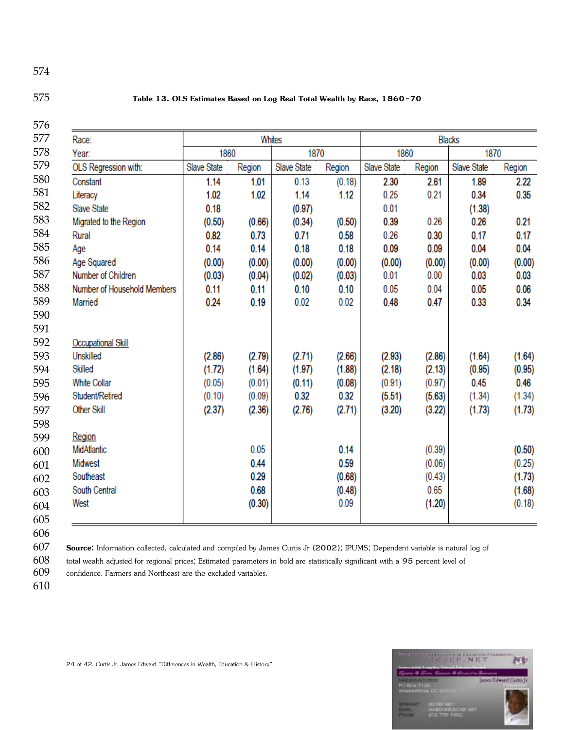### **Table 13. OLS Estimates Based on Log Real Total Wealth by Race, 1860-70**

| Race:                       |             |        | Whites      |        | <b>Blacks</b> |        |             |        |  |
|-----------------------------|-------------|--------|-------------|--------|---------------|--------|-------------|--------|--|
| Year:                       | 1860        |        | 1870        |        | 1860          |        | 1870        |        |  |
| OLS Regression with:        | Slave State | Region | Slave State | Region | Slave State   | Region | Slave State | Region |  |
| Constant                    | 1.14        | 1.01   | 0.13        | (0.18) | 2.30          | 2.61   | 1.89        | 2.22   |  |
| Literacy                    | 1.02        | 1.02   | 1.14        | 1.12   | 0.25          | 0.21   | 0.34        | 0.35   |  |
| Slave State                 | 0.18        |        | (0.97)      |        | 0.01          |        | (1.38)      |        |  |
| Migrated to the Region      | (0.50)      | (0.66) | (0.34)      | (0.50) | 0.39          | 0.26   | 0.26        | 0.21   |  |
| Rural                       | 0.82        | 0.73   | 0.71        | 0.58   | 0.26          | 0.30   | 0.17        | 0.17   |  |
| Age                         | 0.14        | 0.14   | 0.18        | 0.18   | 0.09          | 0.09   | 0.04        | 0.04   |  |
| Age Squared                 | (0.00)      | (0.00) | (0.00)      | (0.00) | (0.00)        | (0.00) | (0.00)      | (0.00) |  |
| Number of Children          | (0.03)      | (0.04) | (0.02)      | (0.03) | 0.01          | 0.00   | 0.03        | 0.03   |  |
| Number of Household Members | 0.11        | 0.11   | 0.10        | 0.10   | 0.05          | 0.04   | 0.05        | 0.06   |  |
| Married                     | 0.24        | 0.19   | 0.02        | 0.02   | 0.48          | 0.47   | 0.33        | 0.34   |  |
|                             |             |        |             |        |               |        |             |        |  |
|                             |             |        |             |        |               |        |             |        |  |
| <b>Occupational Skill</b>   |             |        |             |        |               |        |             |        |  |
| Unskilled                   | (2.86)      | (2.79) | (2.71)      | (2.66) | (2.93)        | (2.86) | (1.64)      | (1.64) |  |
| Skilled                     | (1.72)      | (1.64) | (1.97)      | (1.88) | (2.18)        | (2.13) | (0.95)      | (0.95) |  |
| <b>White Collar</b>         | (0.05)      | (0.01) | (0.11)      | (0.08) | (0.91)        | (0.97) | 0.45        | 0.46   |  |
| Student/Retired             | (0.10)      | (0.09) | 0.32        | 0.32   | (5.51)        | (5.63) | (1.34)      | (1.34) |  |
| <b>Other Skill</b>          | (2.37)      | (2.36) | (2.76)      | (2.71) | (3.20)        | (3.22) | (1.73)      | (1.73) |  |
|                             |             |        |             |        |               |        |             |        |  |
| Region                      |             |        |             |        |               |        |             |        |  |
| MidAtlantic                 |             | 0.05   |             | 0.14   |               | (0.39) |             | (0.50) |  |
| Midwest                     |             | 0.44   |             | 0.59   |               | (0.06) |             | (0.25) |  |
| Southeast                   |             | 0.29   |             | (0.68) |               | (0.43) |             | (1.73) |  |
| South Central               |             | 0.68   |             | (0.48) |               | 0.65   |             | (1.68) |  |
| West                        |             | (0.30) |             | 0.09   |               | (1.20) |             | (0.18) |  |
|                             |             |        |             |        |               |        |             |        |  |

**Source:** Information collected, calculated and compiled by James Curtis Jr (2002); IPUMS; Dependent variable is natural log of

total wealth adjusted for regional prices; Estimated parameters in bold are statistically significant with a 95 percent level of

confidence. Farmers and Northeast are the excluded variables.

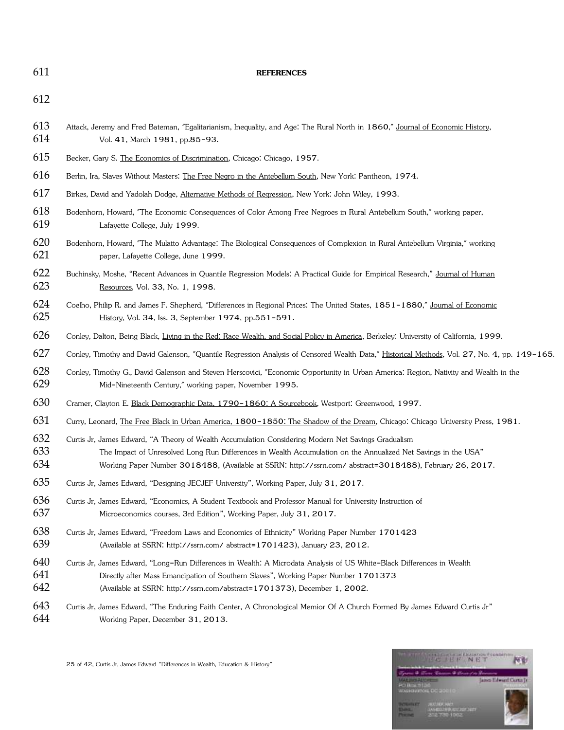### **REFERENCES**

- 613 Attack, Jeremy and Fred Bateman, "Egalitarianism, Inequality, and Age: The Rural North in 1860," Journal of Economic History, Vol. 41, March 1981, pp.85-93.
- Becker, Gary S. The Economics of Discrimination, Chicago: Chicago, 1957.
- 616 Berlin, Ira, Slaves Without Masters: The Free Negro in the Antebellum South, New York: Pantheon, 1974.
- Birkes, David and Yadolah Dodge, Alternative Methods of Regression, New York: John Wiley, 1993.
- Bodenhorn, Howard, "The Economic Consequences of Color Among Free Negroes in Rural Antebellum South," working paper, Lafayette College, July 1999.
- Bodenhorn, Howard, "The Mulatto Advantage: The Biological Consequences of Complexion in Rural Antebellum Virginia," working paper, Lafayette College, June 1999.
- 622 Buchinsky, Moshe, "Recent Advances in Quantile Regression Models: A Practical Guide for Empirical Research," Journal of Human Resources, Vol. 33, No. 1, 1998.
- 624 Coelho, Philip R. and James F. Shepherd, "Differences in Regional Prices: The United States, 1851-1880," Journal of Economic History, Vol. 34, Iss. 3, September 1974, pp.551-591.
- Conley, Dalton, Being Black, Living in the Red: Race Wealth, and Social Policy in America, Berkeley: University of California, 1999.
- Conley, Timothy and David Galenson, "Quantile Regression Analysis of Censored Wealth Data," Historical Methods, Vol. 27, No. 4, pp. 149-165.
- Conley, Timothy G., David Galenson and Steven Herscovici, "Economic Opportunity in Urban America: Region, Nativity and Wealth in the Mid-Nineteenth Century," working paper, November 1995.
- 630 Cramer, Clayton E. Black Demographic Data, 1790-1860: A Sourcebook, Westport: Greenwood, 1997.
- 631 Curry, Leonard, The Free Black in Urban America, 1800-1850: The Shadow of the Dream, Chicago: Chicago University Press, 1981.
- Curtis Jr, James Edward, "A Theory of Wealth Accumulation Considering Modern Net Savings Gradualism The Impact of Unresolved Long Run Differences in Wealth Accumulation on the Annualized Net Savings in the USA" Working Paper Number 3018488, (Available at SSRN: http://ssrn.com/ abstract=3018488), February 26, 2017.
- Curtis Jr, James Edward, "Designing JECJEF University", Working Paper, July 31, 2017.
- Curtis Jr, James Edward, "Economics, A Student Textbook and Professor Manual for University Instruction of Microeconomics courses, 3rd Edition", Working Paper, July 31, 2017.
- Curtis Jr, James Edward, "Freedom Laws and Economics of Ethnicity" Working Paper Number 1701423 (Available at SSRN: http://ssrn.com/ abstract=1701423), January 23, 2012.
- Curtis Jr, James Edward, "Long-Run Differences in Wealth: A Microdata Analysis of US White-Black Differences in Wealth
- Directly after Mass Emancipation of Southern Slaves", Working Paper Number 1701373
- (Available at SSRN: http://ssrn.com/abstract=1701373), December 1, 2002.
- 643 Curtis Jr, James Edward, "The Enduring Faith Center, A Chronological Memior Of A Church Formed By James Edward Curtis Jr" Working Paper, December 31, 2013.

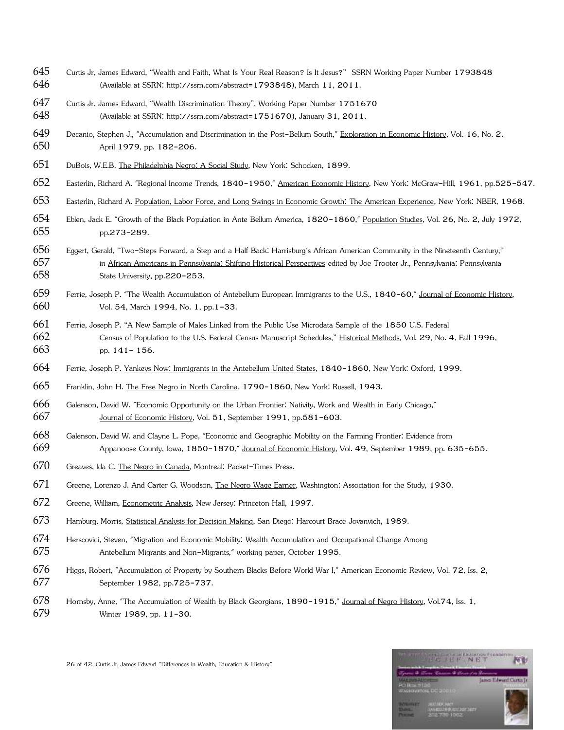- Curtis Jr, James Edward, "Wealth and Faith, What Is Your Real Reason? Is It Jesus?" SSRN Working Paper Number 1793848 (Available at SSRN: http://ssrn.com/abstract=1793848), March 11, 2011.
- Curtis Jr, James Edward, "Wealth Discrimination Theory", Working Paper Number 1751670 (Available at SSRN: http://ssrn.com/abstract=1751670), January 31, 2011.
- Decanio, Stephen J., "Accumulation and Discrimination in the Post-Bellum South," Exploration in Economic History, Vol. 16, No. 2, April 1979, pp. 182-206.
- DuBois, W.E.B. The Philadelphia Negro: A Social Study, New York: Schocken, 1899.
- Easterlin, Richard A. "Regional Income Trends, 1840-1950," American Economic History, New York: McGraw-Hill, 1961, pp.525-547.
- Easterlin, Richard A. Population, Labor Force, and Long Swings in Economic Growth: The American Experience, New York: NBER, 1968.
- Eblen, Jack E. "Growth of the Black Population in Ante Bellum America, 1820-1860," Population Studies, Vol. 26, No. 2, July 1972, pp.273-289.
- Eggert, Gerald, "Two-Steps Forward, a Step and a Half Back: Harrisburg's African American Community in the Nineteenth Century," 657 in African Americans in Pennsylvania: Shifting Historical Perspectives edited by Joe Trooter Jr., Pennsylvania: Pennsylvania State University, pp.220-253.
- Ferrie, Joseph P. "The Wealth Accumulation of Antebellum European Immigrants to the U.S., 1840-60," Journal of Economic History, Vol. 54, March 1994, No. 1, pp.1-33.
- Ferrie, Joseph P. "A New Sample of Males Linked from the Public Use Microdata Sample of the 1850 U.S. Federal Census of Population to the U.S. Federal Census Manuscript Schedules," Historical Methods, Vol. 29, No. 4, Fall 1996, pp. 141- 156.
- Ferrie, Joseph P. Yankeys Now: Immigrants in the Antebellum United States, 1840-1860, New York: Oxford, 1999.
- Franklin, John H. The Free Negro in North Carolina, 1790-1860, New York: Russell, 1943.
- Galenson, David W. "Economic Opportunity on the Urban Frontier: Nativity, Work and Wealth in Early Chicago," Journal of Economic History, Vol. 51, September 1991, pp.581-603.
- Galenson, David W. and Clayne L. Pope, "Economic and Geographic Mobility on the Farming Frontier: Evidence from Appanoose County, Iowa, 1850-1870," Journal of Economic History, Vol. 49, September 1989, pp. 635-655.
- Greaves, Ida C. The Negro in Canada, Montreal: Packet-Times Press.
- Greene, Lorenzo J. And Carter G. Woodson, The Negro Wage Earner, Washington: Association for the Study, 1930.
- Greene, William, Econometric Analysis, New Jersey: Princeton Hall, 1997.
- Hamburg, Morris, Statistical Analysis for Decision Making, San Diego: Harcourt Brace Jovanvich, 1989.
- Herscovici, Steven, "Migration and Economic Mobility: Wealth Accumulation and Occupational Change Among Antebellum Migrants and Non-Migrants," working paper, October 1995.
- 676 Higgs, Robert, "Accumulation of Property by Southern Blacks Before World War I," American Economic Review, Vol. 72, Iss. 2, September 1982, pp.725-737.
- 678 Hornsby, Anne, "The Accumulation of Wealth by Black Georgians, 1890-1915," Journal of Negro History, Vol.74, Iss. 1, Winter 1989, pp. 11-30.

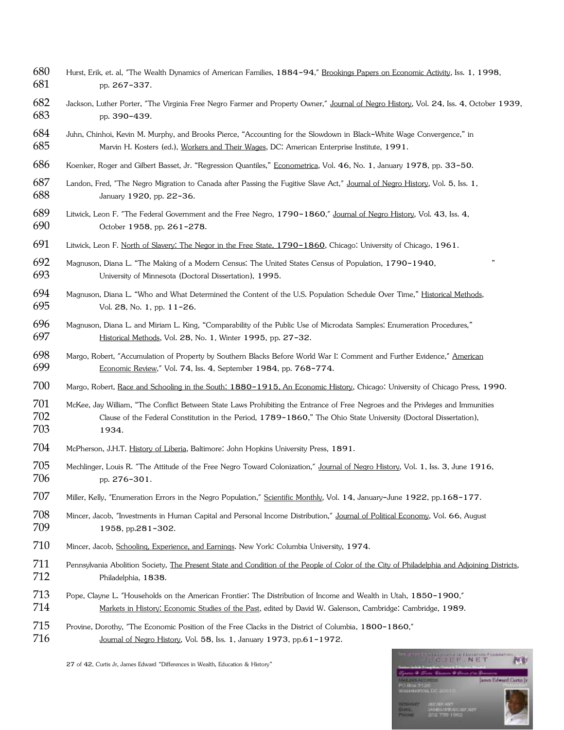- Hurst, Erik, et. al, "The Wealth Dynamics of American Families, 1884-94," Brookings Papers on Economic Activity, Iss. 1, 1998, pp. 267-337.
- Jackson, Luther Porter, "The Virginia Free Negro Farmer and Property Owner," Journal of Negro History, Vol. 24, Iss. 4, October 1939, pp. 390-439.
- Juhn, Chinhoi, Kevin M. Murphy, and Brooks Pierce, "Accounting for the Slowdown in Black-White Wage Convergence," in 685 Marvin H. Kosters (ed.), Workers and Their Wages, DC: American Enterprise Institute, 1991.
- Koenker, Roger and Gilbert Basset, Jr. "Regression Quantiles," Econometrica, Vol. 46, No. 1, January 1978, pp. 33-50.
- 687 Landon, Fred, "The Negro Migration to Canada after Passing the Fugitive Slave Act," Journal of Negro History, Vol. 5, Iss. 1, January 1920, pp. 22-36.
- Litwick, Leon F. "The Federal Government and the Free Negro, 1790-1860," Journal of Negro History, Vol. 43, Iss. 4, October 1958, pp. 261-278.
- Litwick, Leon F. North of Slavery: The Negor in the Free State, 1790-1860, Chicago: University of Chicago, 1961.
- Magnuson, Diana L. "The Making of a Modern Census: The United States Census of Population, 1790-1940, " University of Minnesota (Doctoral Dissertation), 1995.
- 694 Magnuson, Diana L. "Who and What Determined the Content of the U.S. Population Schedule Over Time," Historical Methods, Vol. 28, No. 1, pp. 11-26.
- Magnuson, Diana L. and Miriam L. King, "Comparability of the Public Use of Microdata Samples: Enumeration Procedures," Historical Methods, Vol. 28, No. 1, Winter 1995, pp. 27-32.
- Margo, Robert, "Accumulation of Property by Southern Blacks Before World War I: Comment and Further Evidence," American Economic Review," Vol. 74, Iss. 4, September 1984, pp. 768-774.
- Margo, Robert, Race and Schooling in the South: 1880-1915, An Economic History, Chicago: University of Chicago Press, 1990.
- McKee, Jay William, "The Conflict Between State Laws Prohibiting the Entrance of Free Negroes and the Privleges and Immunities Clause of the Federal Constitution in the Period, 1789-1860," The Ohio State University (Doctoral Dissertation), 1934.
- McPherson, J.H.T. History of Liberia, Baltimore: John Hopkins University Press, 1891.
- Mechlinger, Louis R. "The Attitude of the Free Negro Toward Colonization," Journal of Negro History, Vol. 1, Iss. 3, June 1916, 706 pp. 276-301.
- Miller, Kelly, "Enumeration Errors in the Negro Population," Scientific Monthly, Vol. 14, January-June 1922, pp.168-177.
- Mincer, Jacob, "Investments in Human Capital and Personal Income Distribution," Journal of Political Economy, Vol. 66, August 709 1958, pp.281-302.
- 710 Mincer, Jacob, Schooling, Experience, and Earnings. New York: Columbia University, 1974.
- Pennsylvania Abolition Society, The Present State and Condition of the People of Color of the City of Philadelphia and Adjoining Districts, Philadelphia, 1838.
- Pope, Clayne L. "Households on the American Frontier: The Distribution of Income and Wealth in Utah, 1850-1900," 714 Markets in History: Economic Studies of the Past, edited by David W. Galenson, Cambridge: Cambridge, 1989.
- Provine, Dorothy, "The Economic Position of the Free Clacks in the District of Columbia, 1800-1860,"
- 716 Journal of Negro History, Vol. 58, Iss. 1, January 1973, pp.61-1972.



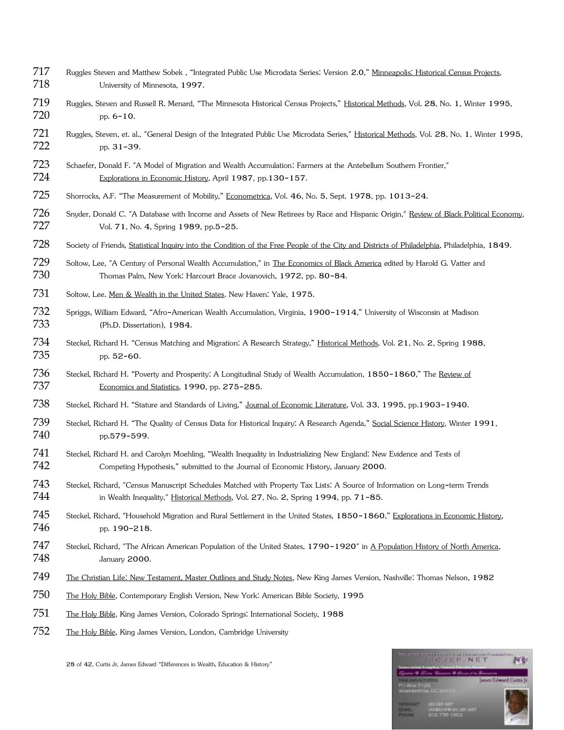- Ruggles Steven and Matthew Sobek , "Integrated Public Use Microdata Series: Version 2.0," Minneapolis: Historical Census Projects, University of Minnesota, 1997.
- Ruggles, Steven and Russell R. Menard, "The Minnesota Historical Census Projects," Historical Methods, Vol. 28, No. 1, Winter 1995, 720 pp. 6-10.
- Ruggles, Steven, et. al., "General Design of the Integrated Public Use Microdata Series," Historical Methods, Vol. 28, No. 1, Winter 1995, pp. 31-39.
- Schaefer, Donald F. "A Model of Migration and Wealth Accumulation: Farmers at the Antebellum Southern Frontier," Explorations in Economic History, April 1987, pp.130-157.
- Shorrocks, A.F. "The Measurement of Mobility," Econometrica, Vol. 46, No. 5, Sept. 1978, pp. 1013-24.
- 726 Snyder, Donald C. "A Database with Income and Assets of New Retirees by Race and Hispanic Origin," Review of Black Political Economy, Vol. 71, No. 4, Spring 1989, pp.5-25.
- 728 Society of Friends, Statistical Inquiry into the Condition of the Free People of the City and Districts of Philadelphia, Philadelphia, 1849.
- 729 Soltow, Lee, "A Century of Personal Wealth Accumulation," in The Economics of Black America edited by Harold G. Vatter and Thomas Palm, New York: Harcourt Brace Jovanovich, 1972, pp. 80-84.
- 731 Soltow, Lee. Men & Wealth in the United States. New Haven: Yale, 1975.
- Spriggs, William Edward, "Afro-American Wealth Accumulation, Virginia, 1900-1914," University of Wisconsin at Madison (Ph.D. Dissertation), 1984.
- Steckel, Richard H. "Census Matching and Migration: A Research Strategy," Historical Methods, Vol. 21, No. 2, Spring 1988, pp. 52-60.
- 736 Steckel, Richard H. "Poverty and Prosperity: A Longitudinal Study of Wealth Accumulation, 1850-1860," The Review of Economics and Statistics, 1990, pp. 275-285.
- 738 Steckel, Richard H. "Stature and Standards of Living," Journal of Economic Literature, Vol. 33, 1995, pp.1903-1940.
- 739 Steckel, Richard H. "The Quality of Census Data for Historical Inquiry: A Research Agenda," Social Science History, Winter 1991, 740 pp.579-599.
- Steckel, Richard H. and Carolyn Moehling, "Wealth Inequality in Industrializing New England: New Evidence and Tests of Competing Hypothesis," submitted to the Journal of Economic History, January 2000.
- Steckel, Richard, "Census Manuscript Schedules Matched with Property Tax Lists: A Source of Information on Long-term Trends 744 in Wealth Inequality," Historical Methods, Vol. 27, No. 2, Spring 1994, pp. 71-85.
- 745 Steckel, Richard, "Household Migration and Rural Settlement in the United States, 1850-1860," Explorations in Economic History, 746 pp. 190-218.
- 747 Steckel, Richard, "The African American Population of the United States, 1790-1920" in A Population History of North America, January 2000.
- The Christian Life: New Testament, Master Outlines and Study Notes, New King James Version, Nashville: Thomas Nelson, 1982
- The Holy Bible, Contemporary English Version, New York: American Bible Society, 1995
- The Holy Bible, King James Version, Colorado Springs: International Society, 1988
- The Holy Bible, King James Version, London, Cambridge University

28 of 42, Curtis Jr, James Edward "Differences in Wealth, Education & History"

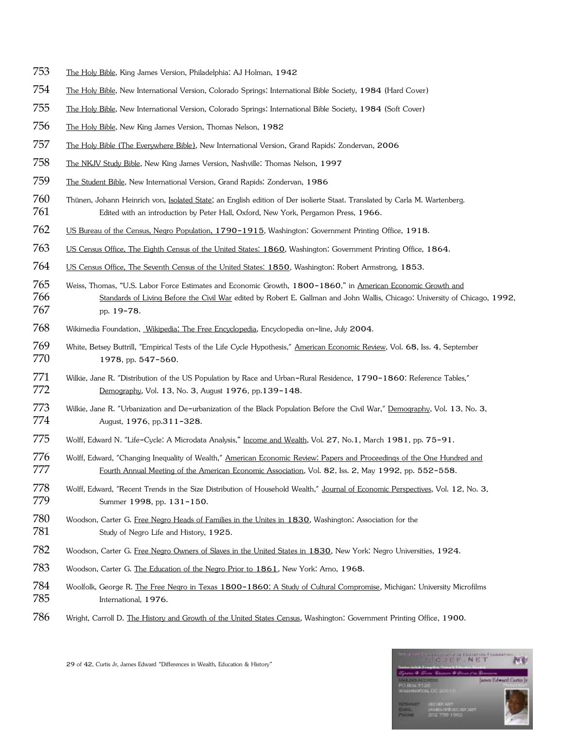- The Holy Bible, King James Version, Philadelphia: AJ Holman, 1942
- The Holy Bible, New International Version, Colorado Springs: International Bible Society, 1984 (Hard Cover)
- The Holy Bible, New International Version, Colorado Springs: International Bible Society, 1984 (Soft Cover)
- The Holy Bible, New King James Version, Thomas Nelson, 1982
- The Holy Bible (The Everywhere Bible), New International Version, Grand Rapids: Zondervan, 2006
- The NKJV Study Bible, New King James Version, Nashville: Thomas Nelson, 1997
- The Student Bible, New International Version, Grand Rapids: Zondervan, 1986
- Thünen, Johann Heinrich von, Isolated State; an English edition of Der isolierte Staat. Translated by Carla M. Wartenberg. Edited with an introduction by Peter Hall, Oxford, New York, Pergamon Press, 1966.
- US Bureau of the Census, Negro Population, 1790-1915, Washington: Government Printing Office, 1918.
- US Census Office, The Eighth Census of the United States: 1860, Washington: Government Printing Office, 1864.
- US Census Office, The Seventh Census of the United States: 1850, Washington: Robert Armstrong, 1853.
- Weiss, Thomas, "U.S. Labor Force Estimates and Economic Growth, 1800-1860," in American Economic Growth and 766 Standards of Living Before the Civil War edited by Robert E. Gallman and John Wallis, Chicago: University of Chicago, 1992, pp. 19-78.
- Wikimedia Foundation, Wikipedia: The Free Encyclopedia, Encyclopedia on-line, July 2004.
- White, Betsey Buttrill, "Empirical Tests of the Life Cycle Hypothesis," American Economic Review, Vol. 68, Iss. 4, September 770 1978, pp. 547-560.
- Wilkie, Jane R. "Distribution of the US Population by Race and Urban-Rural Residence, 1790-1860: Reference Tables," Demography, Vol. 13, No. 3, August 1976, pp.139-148.
- Wilkie, Jane R. "Urbanization and De-urbanization of the Black Population Before the Civil War," Demography, Vol. 13, No. 3, August, 1976, pp.311-328.
- 775 Wolff, Edward N. "Life-Cycle: A Microdata Analysis," Income and Wealth, Vol. 27, No.1, March 1981, pp. 75-91.
- Wolff, Edward, "Changing Inequality of Wealth," American Economic Review: Papers and Proceedings of the One Hundred and 777 Fourth Annual Meeting of the American Economic Association, Vol. 82, Iss. 2, May 1992, pp. 552-558.
- Wolff, Edward, "Recent Trends in the Size Distribution of Household Wealth," Journal of Economic Perspectives, Vol. 12, No. 3, Summer 1998, pp. 131-150.
- 780 Woodson, Carter G. Free Negro Heads of Families in the Unites in 1830, Washington: Association for the 781 Study of Negro Life and History, 1925.
- Woodson, Carter G. Free Negro Owners of Slaves in the United States in 1830, New York: Negro Universities, 1924.
- Woodson, Carter G. The Education of the Negro Prior to 1861, New York: Arno, 1968.
- Woolfolk, George R. The Free Negro in Texas 1800-1860: A Study of Cultural Compromise, Michigan: University Microfilms International, 1976.
- Wright, Carroll D. The History and Growth of the United States Census, Washington: Government Printing Office, 1900.

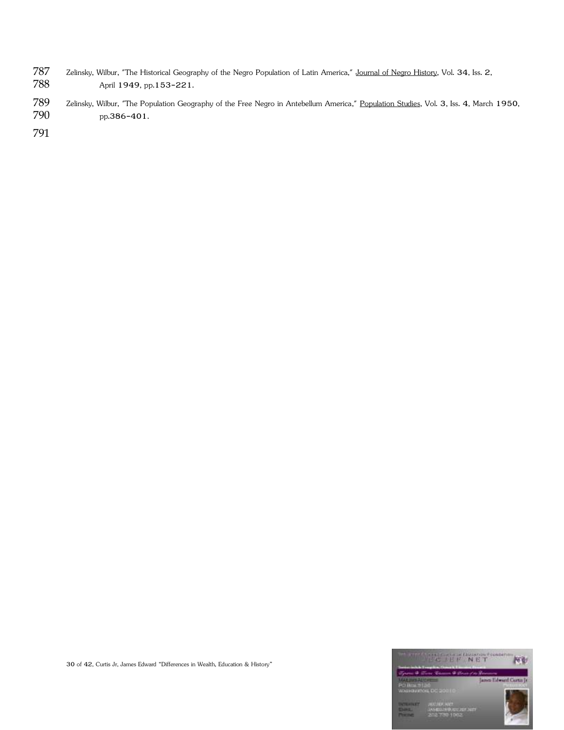- 787 Zelinsky, Wilbur, "The Historical Geography of the Negro Population of Latin America," Journal of Negro History, Vol. 34, Iss. 2,<br>788 April 1949, pp.153-221. April 1949, pp.153-221.
- 789 Zelinsky, Wilbur, "The Population Geography of the Free Negro in Antebellum America," Population Studies, Vol. 3, Iss. 4, March 1950, 790 pp.386-401.

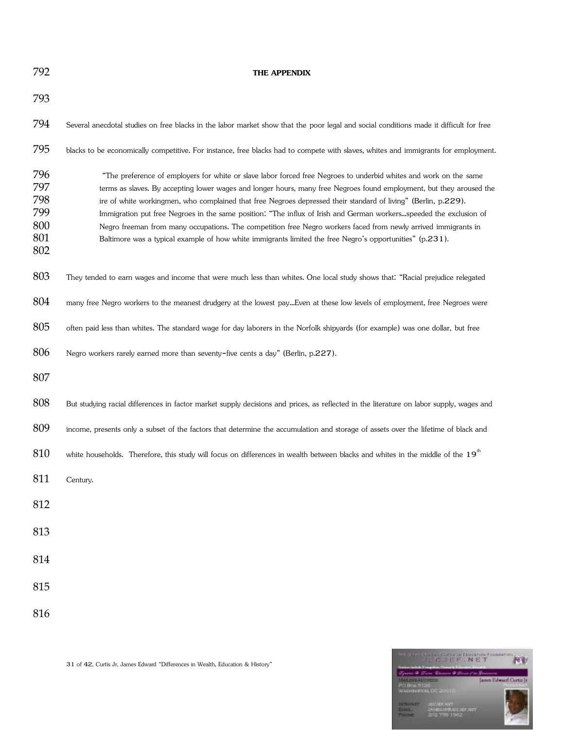### **THE APPENDIX**

| 793                                           |                                                                                                                                                                                                                                                                                                                                                                                                                                                                                                                                                                                                                                                                                                                 |
|-----------------------------------------------|-----------------------------------------------------------------------------------------------------------------------------------------------------------------------------------------------------------------------------------------------------------------------------------------------------------------------------------------------------------------------------------------------------------------------------------------------------------------------------------------------------------------------------------------------------------------------------------------------------------------------------------------------------------------------------------------------------------------|
| 794                                           | Several anecdotal studies on free blacks in the labor market show that the poor legal and social conditions made it difficult for free                                                                                                                                                                                                                                                                                                                                                                                                                                                                                                                                                                          |
| 795                                           | blacks to be economically competitive. For instance, free blacks had to compete with slaves, whites and immigrants for employment.                                                                                                                                                                                                                                                                                                                                                                                                                                                                                                                                                                              |
| 796<br>797<br>798<br>799<br>800<br>801<br>802 | "The preference of employers for white or slave labor forced free Negroes to underbid whites and work on the same<br>terms as slaves. By accepting lower wages and longer hours, many free Negroes found employment, but they aroused the<br>ire of white workingmen, who complained that free Negroes depressed their standard of living" (Berlin, p.229).<br>Immigration put free Negroes in the same position: "The influx of Irish and German workersspeeded the exclusion of<br>Negro freeman from many occupations. The competition free Negro workers faced from newly arrived immigrants in<br>Baltimore was a typical example of how white immigrants limited the free Negro's opportunities" (p.231). |
| 803                                           | They tended to earn wages and income that were much less than whites. One local study shows that: "Racial prejudice relegated                                                                                                                                                                                                                                                                                                                                                                                                                                                                                                                                                                                   |
| 804                                           | many free Negro workers to the meanest drudgery at the lowest payEven at these low levels of employment, free Negroes were                                                                                                                                                                                                                                                                                                                                                                                                                                                                                                                                                                                      |
| 805                                           | often paid less than whites. The standard wage for day laborers in the Norfolk shipyards (for example) was one dollar, but free                                                                                                                                                                                                                                                                                                                                                                                                                                                                                                                                                                                 |
| 806                                           | Negro workers rarely earned more than seventy-five cents a day" (Berlin, p.227).                                                                                                                                                                                                                                                                                                                                                                                                                                                                                                                                                                                                                                |
| 807                                           |                                                                                                                                                                                                                                                                                                                                                                                                                                                                                                                                                                                                                                                                                                                 |
| 808                                           | But studying racial differences in factor market supply decisions and prices, as reflected in the literature on labor supply, wages and                                                                                                                                                                                                                                                                                                                                                                                                                                                                                                                                                                         |
| 809                                           | income, presents only a subset of the factors that determine the accumulation and storage of assets over the lifetime of black and                                                                                                                                                                                                                                                                                                                                                                                                                                                                                                                                                                              |
| 810                                           | white households. Therefore, this study will focus on differences in wealth between blacks and whites in the middle of the 19 <sup>th</sup>                                                                                                                                                                                                                                                                                                                                                                                                                                                                                                                                                                     |
| 811                                           | Century.                                                                                                                                                                                                                                                                                                                                                                                                                                                                                                                                                                                                                                                                                                        |
| 812                                           |                                                                                                                                                                                                                                                                                                                                                                                                                                                                                                                                                                                                                                                                                                                 |
| 813                                           |                                                                                                                                                                                                                                                                                                                                                                                                                                                                                                                                                                                                                                                                                                                 |
| 814                                           |                                                                                                                                                                                                                                                                                                                                                                                                                                                                                                                                                                                                                                                                                                                 |
| 815                                           |                                                                                                                                                                                                                                                                                                                                                                                                                                                                                                                                                                                                                                                                                                                 |
| 816                                           |                                                                                                                                                                                                                                                                                                                                                                                                                                                                                                                                                                                                                                                                                                                 |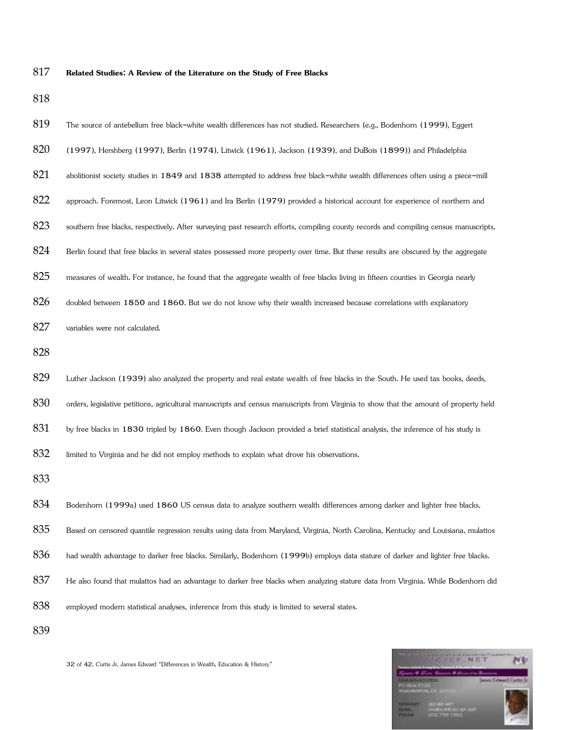### **Related Studies: A Review of the Literature on the Study of Free Blacks**

| 819 | The source of antebellum free black-white wealth differences has not studied. Researchers (e.g., Bodenhorn (1999), Eggert             |
|-----|---------------------------------------------------------------------------------------------------------------------------------------|
| 820 | (1997), Hershberg (1997), Berlin (1974), Litwick (1961), Jackson (1939), and DuBois (1899)) and Philadelphia                          |
| 821 | abolitionist society studies in 1849 and 1838 attempted to address free black-white wealth differences often using a piece-mill       |
| 822 | approach. Foremost, Leon Litwick (1961) and Ira Berlin (1979) provided a historical account for experience of northern and            |
| 823 | southern free blacks, respectively. After surveying past research efforts, compiling county records and compiling census manuscripts, |
| 824 | Berlin found that free blacks in several states possessed more property over time. But these results are obscured by the aggregate    |
| 825 | measures of wealth. For instance, he found that the aggregate wealth of free blacks living in fifteen counties in Georgia nearly      |
| 826 | doubled between 1850 and 1860. But we do not know why their wealth increased because correlations with explanatory                    |
| 827 | variables were not calculated.                                                                                                        |
| 828 |                                                                                                                                       |
| 829 | Luther Jackson (1939) also analyzed the property and real estate wealth of free blacks in the South. He used tax books, deeds,        |
| 830 | orders, legislative petitions, agricultural manuscripts and census manuscripts from Virginia to show that the amount of property held |
| 831 | by free blacks in 1830 tripled by 1860. Even though Jackson provided a brief statistical analysis, the inference of his study is      |
| 832 | limited to Virginia and he did not employ methods to explain what drove his observations.                                             |
| 833 |                                                                                                                                       |
| 834 | Bodenhorn (1999a) used 1860 US census data to analyze southern wealth differences among darker and lighter free blacks.               |
| 835 | Based on censored quantile regression results using data from Maryland, Virginia, North Carolina, Kentucky and Louisiana, mulattos    |
| 836 | had wealth advantage to darker free blacks. Similarly, Bodenhorn (1999b) employs data stature of darker and lighter free blacks.      |
| 837 | He also found that mulattos had an advantage to darker free blacks when analyzing stature data from Virginia. While Bodenhorn did     |
| 838 | employed modern statistical analyses, inference from this study is limited to several states.                                         |
| 839 |                                                                                                                                       |



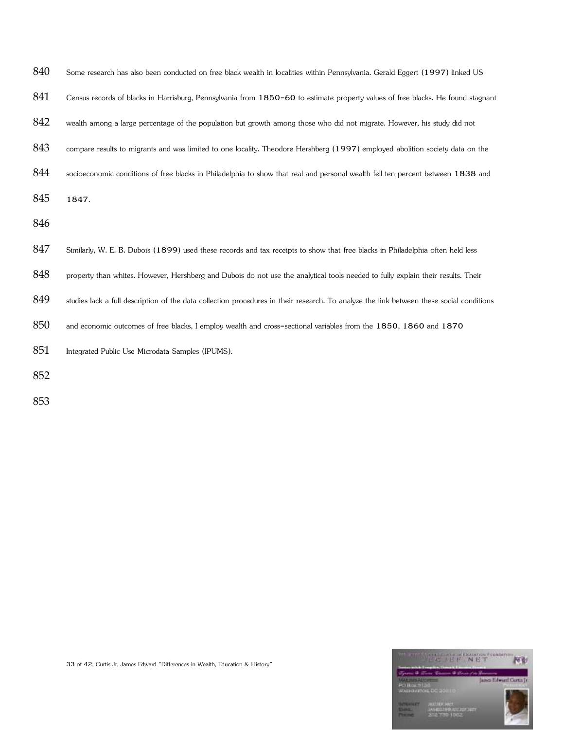| 840 | Some research has also been conducted on free black wealth in localities within Pennsylvania. Gerald Eggert (1997) linked US             |
|-----|------------------------------------------------------------------------------------------------------------------------------------------|
| 841 | Census records of blacks in Harrisburg, Pennsylvania from 1850-60 to estimate property values of free blacks. He found stagnant          |
| 842 | wealth among a large percentage of the population but growth among those who did not migrate. However, his study did not                 |
| 843 | compare results to migrants and was limited to one locality. Theodore Hershberg (1997) employed abolition society data on the            |
| 844 | socioeconomic conditions of free blacks in Philadelphia to show that real and personal wealth fell ten percent between 1838 and          |
| 845 | 1847.                                                                                                                                    |
| 846 |                                                                                                                                          |
| 847 | Similarly, W. E. B. Dubois (1899) used these records and tax receipts to show that free blacks in Philadelphia often held less           |
| 848 | property than whites. However, Hershberg and Dubois do not use the analytical tools needed to fully explain their results. Their         |
| 849 | studies lack a full description of the data collection procedures in their research. To analyze the link between these social conditions |
| 850 | and economic outcomes of free blacks, I employ wealth and cross-sectional variables from the 1850, 1860 and 1870                         |
| 851 | Integrated Public Use Microdata Samples (IPUMS).                                                                                         |
| 852 |                                                                                                                                          |
|     |                                                                                                                                          |

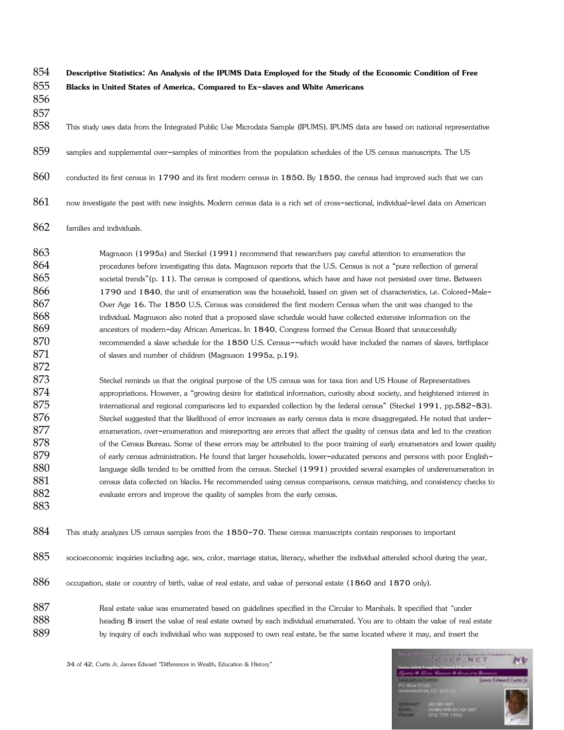854 **Descriptive Statistics: An Analysis of the IPUMS Data Employed for the Study of the Economic Condition of Free**  855 **Blacks in United States of America, Compared to Ex-slaves and White Americans** 

856 857

858 This study uses data from the Integrated Public Use Microdata Sample (IPUMS). IPUMS data are based on national representative

- 859 samples and supplemental over-samples of minorities from the population schedules of the US census manuscripts. The US
- 860 conducted its first census in 1790 and its first modern census in 1850. By 1850, the census had improved such that we can
- $861$  now investigate the past with new insights. Modern census data is a rich set of cross-sectional, individual-level data on American
- 862 families and individuals.

863 Magnuson (1995a) and Steckel (1991) recommend that researchers pay careful attention to enumeration the 864 procedures before investigating this data. Magnuson reports that the U.S. Census is not a "pure reflection of general 865 societal trends"(p. 11). The census is composed of questions, which have and have not persisted over time. Between 866 1790 and 1840, the unit of enumeration was the household, based on given set of characteristics, i.e. Colored-Male-867 Over Age 16. The 1850 U.S. Census was considered the first modern Census when the unit was changed to the 868 individual. Magnuson also noted that a proposed slave schedule would have collected extensive information on the 869 ancestors of modern-day African Americas. In 1840, Congress formed the Census Board that unsuccessfully 870 recommended a slave schedule for the 1850 U.S. Census--which would have included the names of slaves, birthplace 871 of slaves and number of children (Magnuson 1995a, p.19).

873 Steckel reminds us that the original purpose of the US census was for taxa tion and US House of Representatives 874 appropriations. However, a "growing desire for statistical information, curiosity about society, and heightened interest in 875 international and regional comparisons led to expanded collection by the federal census" (Steckel 1991, pp.582-83). 876 Steckel suggested that the likelihood of error increases as early census data is more disaggregated. He noted that under-877 enumeration, over-enumeration and misreporting are errors that affect the quality of census data and led to the creation 878 of the Census Bureau. Some of these errors may be attributed to the poor training of early enumerators and lower quality 879 of early census administration. He found that larger households, lower-educated persons and persons with poor English-880 language skills tended to be omitted from the census. Steckel (1991) provided several examples of underenumeration in 881 census data collected on blacks. He recommended using census comparisons, census matching, and consistency checks to 882 evaluate errors and improve the quality of samples from the early census.

883

872

884 This study analyzes US census samples from the 1850-70. These census manuscripts contain responses to important

- 885 socioeconomic inquiries including age, sex, color, marriage status, literacy, whether the individual attended school during the year,
- 886 occupation, state or country of birth, value of real estate, and value of personal estate (1860 and 1870 only).
- 887 Real estate value was enumerated based on guidelines specified in the Circular to Marshals. It specified that "under 888 heading 8 insert the value of real estate owned by each individual enumerated. You are to obtain the value of real estate 889 by inquiry of each individual who was supposed to own real estate, be the same located where it may, and insert the

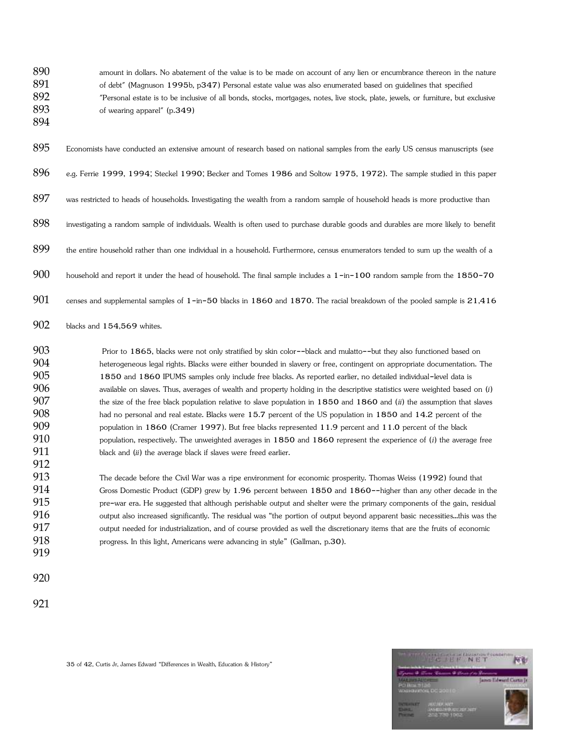890 amount in dollars. No abatement of the value is to be made on account of any lien or encumbrance thereon in the nature 891 of debt" (Magnuson 1995b, p347) Personal estate value was also enumerated based on guidelines that specified "Personal estate is to be inclusive of all bonds, stocks, mortgages, notes, live stock, plate, jewels, or furniture, but exclusive of wearing apparel" (p.349)

Economists have conducted an extensive amount of research based on national samples from the early US census manuscripts (see

- e.g. Ferrie 1999, 1994; Steckel 1990; Becker and Tomes 1986 and Soltow 1975, 1972). The sample studied in this paper
- 897 was restricted to heads of households. Investigating the wealth from a random sample of household heads is more productive than
- investigating a random sample of individuals. Wealth is often used to purchase durable goods and durables are more likely to benefit
- 899 the entire household rather than one individual in a household. Furthermore, census enumerators tended to sum up the wealth of a
- 900 household and report it under the head of household. The final sample includes a 1-in-100 random sample from the 1850-70
- 901 censes and supplemental samples of -in-50 blacks in 1860 and 1870. The racial breakdown of the pooled sample is  $21,416$
- 902 blacks and 154,569 whites.

903 Prior to 1865, blacks were not only stratified by skin color--black and mulatto--but they also functioned based on heterogeneous legal rights. Blacks were either bounded in slavery or free, contingent on appropriate documentation. The 1850 and 1860 IPUMS samples only include free blacks. As reported earlier, no detailed individual-level data is available on slaves. Thus, averages of wealth and property holding in the descriptive statistics were weighted based on (*i*) the size of the free black population relative to slave population in 1850 and 1860 and (*ii*) the assumption that slaves had no personal and real estate. Blacks were 15.7 percent of the US population in 1850 and 14.2 percent of the population in 1860 (Cramer 1997). But free blacks represented 11.9 percent and 11.0 percent of the black population, respectively. The unweighted averages in 1850 and 1860 represent the experience of (*i*) the average free 911 black and (*ii*) the average black if slaves were freed earlier.

913 The decade before the Civil War was a ripe environment for economic prosperity. Thomas Weiss (1992) found that Gross Domestic Product (GDP) grew by 1.96 percent between 1850 and 1860--higher than any other decade in the pre-war era. He suggested that although perishable output and shelter were the primary components of the gain, residual output also increased significantly. The residual was "the portion of output beyond apparent basic necessities...this was the output needed for industrialization, and of course provided as well the discretionary items that are the fruits of economic **progress.** In this light, Americans were advancing in style" (Gallman, p.30).

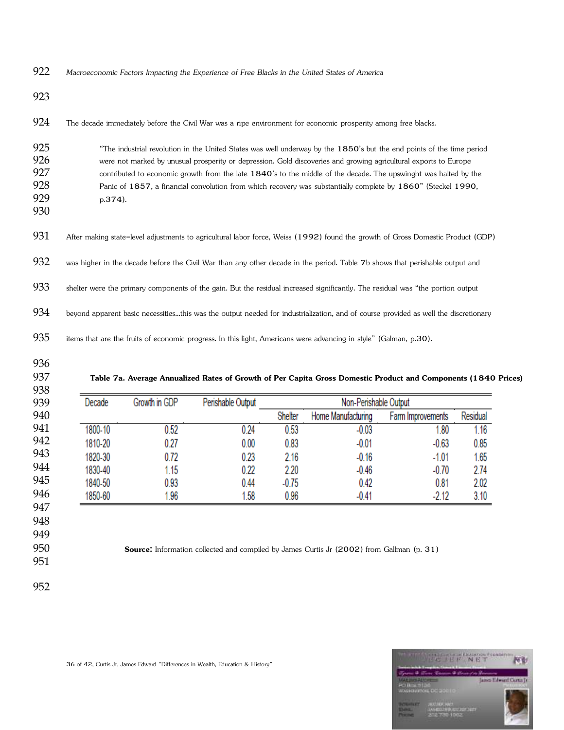*Macroeconomic Factors Impacting the Experience of Free Blacks in the United States of America* 

924 The decade immediately before the Civil War was a ripe environment for economic prosperity among free blacks.

| 925 | "The industrial revolution in the United States was well underway by the 1850's but the end points of the time period |
|-----|-----------------------------------------------------------------------------------------------------------------------|
| 926 | were not marked by unusual prosperity or depression. Gold discoveries and growing agricultural exports to Europe      |
| 927 | contributed to economic growth from the late 1840's to the middle of the decade. The upswinght was halted by the      |
| 928 | Panic of 1857, a financial convolution from which recovery was substantially complete by 1860" (Steckel 1990,         |
| 929 | $p.374$ ).                                                                                                            |
| 930 |                                                                                                                       |

931 After making state-level adjustments to agricultural labor force, Weiss (1992) found the growth of Gross Domestic Product (GDP)

932 was higher in the decade before the Civil War than any other decade in the period. Table 7b shows that perishable output and

933 shelter were the primary components of the gain. But the residual increased significantly. The residual was "the portion output

934 beyond apparent basic necessities...this was the output needed for industrialization, and of course provided as well the discretionary

items that are the fruits of economic progress. In this light, Americans were advancing in style" (Galman, p.30).

- 
- 

**Table 7a. Average Annualized Rates of Growth of Per Capita Gross Domestic Product and Components (1840 Prices)**

| Decade  | Growth in GDP | Perishable Output | Non-Perishable Output |                    |                   |          |  |  |
|---------|---------------|-------------------|-----------------------|--------------------|-------------------|----------|--|--|
|         |               |                   | Shelter               | Home Manufacturing | Farm Improvements | Residual |  |  |
| 1800-10 | 0.52          | 0.24              | 0.53                  | $-0.03$            | .80               | 1.16     |  |  |
| 1810-20 | 0.27          | 0.00              | 0.83                  | $-0.01$            | $-0.63$           | 0.85     |  |  |
| 1820-30 | 0.72          | 0.23              | 2.16                  | $-0.16$            | $-1.01$           | 1.65     |  |  |
| 1830-40 | 1.15          | 0.22              | 2.20                  | $-0.46$            | $-0.70$           | 2.74     |  |  |
| 1840-50 | 0.93          | 0.44              | $-0.75$               | 0.42               | 0.81              | 2.02     |  |  |
| 1850-60 | 1.96          | .58               | 0.96                  | $-0.41$            | $-2.12$           | 3.10     |  |  |

**Source:** Information collected and compiled by James Curtis Jr (2002) from Gallman (p. 31)

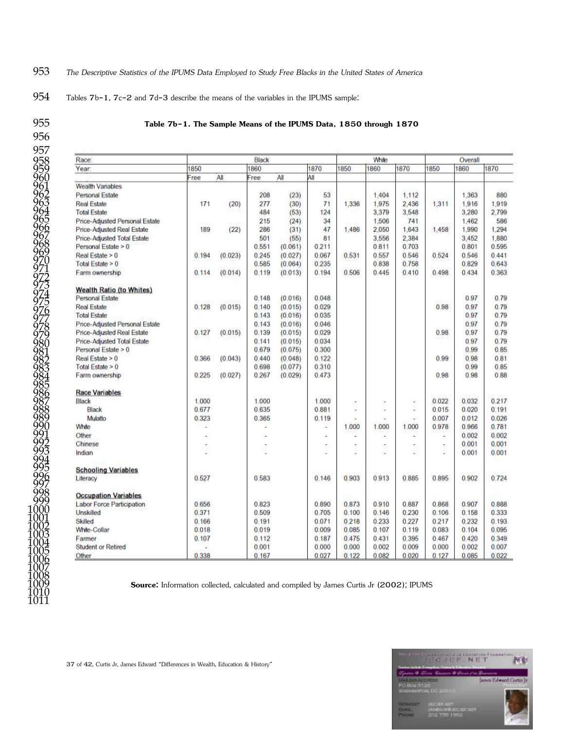### *The Descriptive Statistics of the IPUMS Data Employed to Study Free Blacks in the United States of America*

Tables 7b-1, 7c-2 and 7d-3 describe the means of the variables in the IPUMS sample:

### **Table 7b-1. The Sample Means of the IPUMS Data, 1850 through 1870**

| Race:                             |       | Black<br>1870 |       |         |                          |       |                          | White               |       |       | Overall |  |  |
|-----------------------------------|-------|---------------|-------|---------|--------------------------|-------|--------------------------|---------------------|-------|-------|---------|--|--|
| Year:                             | 1850  |               |       | 1860    |                          | 1850  | 1860                     | 1870                | 1850  | 1860  | 1870    |  |  |
|                                   | Free  | All           | Free  | All     | ÁI                       |       |                          |                     |       |       |         |  |  |
| Wealth Variables                  |       |               |       |         |                          |       |                          |                     |       |       |         |  |  |
| Personal Estate                   |       |               | 208   | (23)    | 53                       |       | 1,404                    | 1.112               |       | 1,363 | 880     |  |  |
| <b>Real Estate</b>                | 171   | (20)          | 277   | (30)    | 71                       | 1,336 | 1.975                    | 2,436               | 1,311 | 1,916 | 1.919   |  |  |
| <b>Total Estate</b>               |       |               | 484   | (53)    | 124                      |       | 3,379                    | 3,548               |       | 3,280 | 2,799   |  |  |
| Price-Adjusted Personal Estate    |       |               | 215   | (24)    | 34                       |       | 1,506                    | 741                 |       | 1.462 | 586     |  |  |
| <b>Price-Adjusted Real Estate</b> | 189   | (22)          | 286   | (31)    | 47                       | 1,486 | 2,050                    | 1,643               | 1,458 | 1,990 | 1.294   |  |  |
| Price-Adjusted Total Estate       |       |               | 501   | (55)    | 81                       |       | 3.556                    | 2,384               |       | 3.452 | 1,880   |  |  |
| Personal Estate > 0               |       |               | 0.551 | (0.061) | 0.211                    |       | 0.811                    | 0.703               |       | 0.801 | 0.595   |  |  |
| Real Estate > 0                   | 0.194 | (0.023)       | 0.245 | (0.027) | 0.067                    | 0.531 | 0.557                    | 0.546               | 0.524 | 0.546 | 0.441   |  |  |
| Total Estate $\geq 0$             |       |               | 0.585 | (0.064) | 0.235                    |       | 0.838                    | 0.758               |       | 0.829 | 0.643   |  |  |
| Farm ownership                    | 0.114 | (0.014)       | 0.119 | (0.013) | 0.194                    | 0.506 | 0.445                    | 0.410               | 0.498 | 0.434 | 0.363   |  |  |
| <b>Wealth Ratio (to Whites)</b>   |       |               |       |         |                          |       |                          |                     |       |       |         |  |  |
| Personal Estate                   |       |               | 0.148 | (0.016) | 0.048                    |       |                          |                     |       | 0.97  | 0.79    |  |  |
| <b>Real Estate</b>                | 0.128 | (0.015)       | 0.140 | (0.015) | 0.029                    |       |                          |                     | 0.98  | 0.97  | 0.79    |  |  |
| <b>Total Estate</b>               |       |               | 0.143 | (0.016) | 0.035                    |       |                          |                     |       | 0.97  | 0.79    |  |  |
| Price-Adjusted Personal Estate    |       |               | 0.143 | (0.016) | 0.046                    |       |                          |                     |       | 0.97  | 0.79    |  |  |
| Price-Adjusted Real Estate        | 0.127 | (0.015)       | 0.139 | (0.015) | 0.029                    |       |                          |                     | 0.98  | 0.97  | 0.79    |  |  |
| Price-Adjusted Total Estate       |       |               | 0.141 | (0.015) | 0.034                    |       |                          |                     |       | 0.97  | 0.79    |  |  |
| Personal Estate > 0               |       |               | 0679  | (0.075) | 0.300                    |       |                          |                     |       | 0.99  | 0.85    |  |  |
| Real Estate > 0                   | 0.366 | (0.043)       | 0.440 | (0.048) | 0.122                    |       |                          |                     | 0.99  | 0.98  | 0.81    |  |  |
| Total Estate $\geq 0$             |       |               | 0.698 | (0.077) | 0.310                    |       |                          |                     |       | 0.99  | 0.85    |  |  |
| Farm ownership                    | 0.225 | (0.027)       | 0.267 | (0.029) | 0.473                    |       |                          |                     | 0.98  | 0.98  | 0.88    |  |  |
| <b>Race Variables</b>             |       |               |       |         |                          |       |                          |                     |       |       |         |  |  |
| Black                             | 1.000 |               | 1.000 |         | 1.000                    | ×     | $\overline{\phantom{a}}$ | $\scriptstyle\star$ | 0.022 | 0.032 | 0.217   |  |  |
| Black                             | 0.677 |               | 0.635 |         | 0.881                    | u,    | ä.                       | ÷                   | 0.015 | 0.020 | 0.191   |  |  |
| Mulatto                           | 0.323 |               | 0.365 |         | 0.119                    |       |                          |                     | 0.007 | 0.012 | 0.026   |  |  |
| White                             | í.    |               | ٠     |         | c                        | 1.000 | 1.000                    | 1.000               | 0.978 | 0.966 | 0.781   |  |  |
| Other                             |       |               |       |         | u                        | ٠     | ٠                        | ٠                   |       | 0.002 | 0.002   |  |  |
| Chinese                           |       |               |       |         | $\overline{\phantom{a}}$ | ×     | ۰                        | ٠                   | ٠     | 0.001 | 0.001   |  |  |
| Indian                            |       |               |       |         |                          |       |                          | ×                   |       | 0.001 | 0.001   |  |  |
| <b>Schooling Variables</b>        |       |               |       |         |                          |       |                          |                     |       |       |         |  |  |
| Literacy                          | 0.527 |               | 0.583 |         | 0.146                    | 0.903 | 0.913                    | 0.885               | 0.895 | 0.902 | 0.724   |  |  |
| <b>Occupation Variables</b>       |       |               |       |         |                          |       |                          |                     |       |       |         |  |  |
| Labor Force Participation         | 0.656 |               | 0.823 |         | 0.890                    | 0.873 | 0.910                    | 0.887               | 0.868 | 0.907 | 0.888   |  |  |
| Unskilled                         | 0.371 |               | 0.509 |         | 0.705                    | 0.100 | 0.146                    | 0.230               | 0.106 | 0.158 | 0.333   |  |  |
| Skilled                           | 0.166 |               | 0.191 |         | 0.071                    | 0.218 | 0.233                    | 0.227               | 0.217 | 0.232 | 0.193   |  |  |
| White-Collar                      | 0.018 |               | 0.019 |         | 0.009                    | 0.085 | 0.107                    | 0.119               | 0.083 | 0.104 | 0.095   |  |  |
| Farmer                            | 0.107 |               | 0.112 |         | 0.187                    | 0.475 | 0.431                    | 0.395               | 0.467 | 0.420 | 0.349   |  |  |
| Student or Retired                |       |               | 0.001 |         | 0.000                    | 0.000 | 0.002                    | 0.009               | 0.000 | 0.002 | 0.007   |  |  |
| Other                             | 0.338 |               | 0.167 |         | 0.027                    | 0.122 | 0.082                    | 0.020               | 0.127 | 0.085 | 0.022   |  |  |

**Source:** Information collected, calculated and compiled by James Curtis Jr (2002); IPUMS

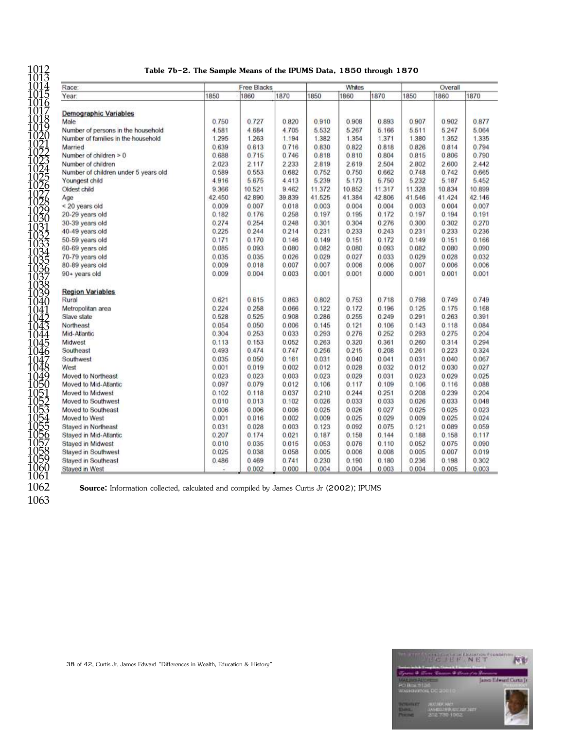| 1012 | Table 7b-2. The Sample Means of the IPUMS Data, 1850 through 1870 |
|------|-------------------------------------------------------------------|
| 4040 |                                                                   |

| Race:                                |        | <b>Free Blacks</b> |        |        | Whites |         |        | Overall |        |
|--------------------------------------|--------|--------------------|--------|--------|--------|---------|--------|---------|--------|
| Year:                                | 1850   | 1860               | 1870   | 1850   | 1860   | 1870    | 1850   | 1860    | 1870   |
| Demographic Variables                |        |                    |        |        |        |         |        |         |        |
| Male                                 | 0.750  | 0.727              | 0.820  | 0.910  | 0.908  | 0.893   | 0.907  | 0.902   | 0.877  |
| Number of persons in the household   | 4.581  | 4.684              | 4.705  | 5.532  | 5.267  | 5.166   | 5.511  | 5.247   | 5.064  |
| Number of families in the household  | 1.295  | 1.263              | 1.194  | 1.382  | 1.354  | 1.371   | 1.380  | 1.352   | 1.335  |
| Married                              | 0.639  | 0.613              | 0.716  | 0.830  | 0.822  | 0.818   | 0.826  | 0.814   | 0.794  |
| Number of children $> 0$             | 0.688  | 0.715              | 0.746  | 0.818  | 0.810  | 0.804   | 0.815  | 0.806   | 0.790  |
| Number of children                   | 2.023  | 2.117              | 2.233  | 2.819  | 2.619  | 2.504   | 2.802  | 2.600   | 2.442  |
| Number of children under 5 years old | 0.589  | 0.553              | 0.682  | 0.752  | 0.750  | 0.662   | 0.748  | 0.742   | 0.665  |
| Youngest child                       | 4.916  | 5.675              | 4.413  | 5.239  | 5.173  | 5.750   | 5.232  | 5.187   | 5.452  |
| Oldest child                         | 9.366  | 10.521             | 9.462  | 11.372 | 10.852 | 11.317  | 11.328 | 10.834  | 10.899 |
|                                      | 42.450 | 42.890             | 39.839 | 41.525 | 41.384 | 42.806  | 41.546 | 41.424  | 42.146 |
| Age                                  | 0.009  | 0.007              | 0.018  |        | 0.004  | 0.004   |        | 0.004   | 0.007  |
| < 20 years old                       |        |                    |        | 0.003  |        |         | 0.003  |         |        |
| 20-29 years old                      | 0.182  | 0.176              | 0.258  | 0.197  | 0.195  | 0.172   | 0.197  | 0.194   | 0.191  |
| 30-39 years old                      | 0.274  | 0.254              | 0.248  | 0.301  | 0.304  | 0.276   | 0.300  | 0.302   | 0.270  |
| 40-49 years old                      | 0.225  | 0.244              | 0.214  | 0.231  | 0.233  | 0.243   | 0.231  | 0.233   | 0.236  |
| 50-59 years old                      | 0.171  | 0.170              | 0.146  | 0.149  | 0.151  | 0.172   | 0.149  | 0.151   | 0.166  |
| 60-69 years old                      | 0.085  | 0.093              | 0.080  | 0.082  | 0.080  | 0.093   | 0.082  | 0.080   | 0.090  |
| 70-79 years old                      | 0.035  | 0.035              | 0.026  | 0.029  | 0.027  | 0.033   | 0.029  | 0.028   | 0.032  |
| 80-89 years old                      | 0.009  | 0.018              | 0.007  | 0.007  | 0.006  | 0.006   | 0.007  | 0.006   | 0.006  |
| 90+ years old                        | 0.009  | 0.004              | 0.003  | 0.001  | 0.001  | 0.000   | 0.001  | 0.001   | 0.001  |
| <b>Region Variables</b>              |        |                    |        |        |        |         |        |         |        |
| Rural                                | 0.621  | 0.615              | 0.863  | 0.802  | 0.753  | 0.718   | 0.798  | 0.749   | 0.749  |
| Metropolitan area                    | 0.224  | 0.258              | 0.066  | 0.122  | 0.172  | 0.196   | 0.125  | 0.175   | 0.168  |
| Slave state                          | 0.528  | 0.525              | 0.908  | 0.286  | 0.255  | 0.249   | 0.291  | 0.263   | 0.391  |
| Northeast                            | 0.054  | 0.050              | 0.006  | 0.145  | 0.121  | 0.106   | 0.143  | 0.118   | 0.084  |
| Mid-Atlantic                         | 0.304  | 0.253              | 0.033  | 0.293  | 0.276  | 0.252   | 0.293  | 0.275   | 0.204  |
| Midwest                              | 0.113  | 0.153              | 0.052  | 0.263  | 0.320  | 0.361   | 0.260  | 0.314   | 0.294  |
| Southeast                            | 0.493  | 0.474              | 0.747  | 0.256  | 0.215  | 0.208   | 0.261  | 0.223   | 0.324  |
| Southwest                            | 0.035  | 0.050              | 0.161  | 0.031  | 0.040  | 0.041   | 0.031  | 0.040   | 0.067  |
| West                                 | 0.001  | 0.019              | 0.002  | 0.012  | 0.028  | 0.032   | 0.012  | 0.030   | 0.027  |
| Moved to Northeast                   | 0.023  | 0.023              | 0.003  | 0.023  | 0.029  | 0 0 3 1 | 0.023  | 0.029   | 0.025  |
| Moved to Mid-Atlantic                | 0.097  | 0.079              | 0.012  | 0.106  | 0.117  | 0.109   | 0.106  | 0.116   | 0.088  |
| Moved to Midwest                     | 0.102  | 0.118              | 0.037  | 0.210  | 0.244  | 0.251   | 0.208  | 0.239   | 0.204  |
| Moved to Southwest                   | 0.010  | 0.013              | 0.102  | 0.026  | 0.033  | 0.033   | 0.026  | 0.033   | 0.048  |
| Moved to Southeast                   | 0.006  | 0.006              | 0.006  | 0.025  | 0.026  | 0.027   | 0.025  | 0.025   | 0.023  |
| Moved to West                        | 0.001  | 0.016              | 0.002  | 0.009  | 0.025  | 0.029   | 0.009  | 0.025   | 0.024  |
| Stayed in Northeast                  | 0.031  | 0.028              | 0.003  | 0.123  | 0.092  | 0.075   | 0.121  | 0.089   | 0.059  |
| Stayed in Mid-Atlantic.              | 0.207  | 0.174              | 0.021  | 0.187  | 0.158  | 0.144   | 0.188  | 0.158   | 0.117  |
| <b>Stayed in Midwest</b>             | 0.010  | 0.035              | 0.015  | 0.053  | 0.076  | 0.110   | 0.052  | 0.075   | 0.090  |
| <b>Stayed in Southwest</b>           | 0.025  | 0.038              | 0.058  | 0.005  | 0.006  | 0.008   | 0.005  | 0.007   | 0.019  |
| Stayed in Southeast                  | 0.486  | 0.469              | 0.741  | 0.230  | 0.190  | 0.180   | 0.236  | 0.198   | 0.302  |
| Stayed in West                       |        | 0.002              | 0.000  | 0.004  | 0.004  | 0.003   | 0.004  | 0.005   | 0.003  |
|                                      |        |                    |        |        |        |         |        |         |        |

**Source:** Information collected, calculated and compiled by James Curtis Jr (2002); IPUMS

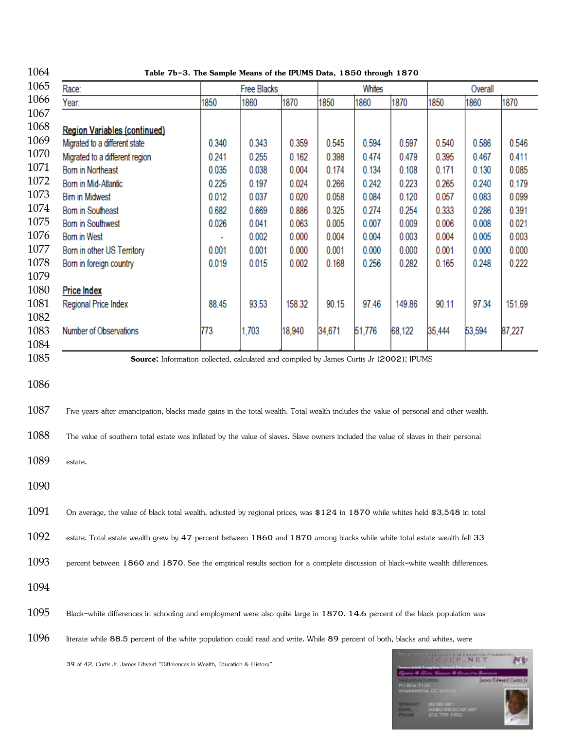| 1064         | Table 7b-3. The Sample Means of the IPUMS Data, 1850 through 1870                                                                   |       |                    |        |        |        |        |                    |         |        |
|--------------|-------------------------------------------------------------------------------------------------------------------------------------|-------|--------------------|--------|--------|--------|--------|--------------------|---------|--------|
| 1065         | Race:                                                                                                                               |       | <b>Free Blacks</b> |        |        | Whites |        |                    | Overall |        |
| 1066         | Year:                                                                                                                               | 1850  | 1860               | 1870   | 1850   | 1860   | 1870   | 1850               | 1860    | 1870   |
| 1067         |                                                                                                                                     |       |                    |        |        |        |        |                    |         |        |
| 1068         | <b>Region Variables (continued)</b>                                                                                                 |       |                    |        |        |        |        |                    |         |        |
| 1069         | Migrated to a different state                                                                                                       | 0.340 | 0.343              | 0.359  | 0.545  | 0.594  | 0.597  | 0.540              | 0.586   | 0.546  |
| 1070         | Migrated to a different region                                                                                                      | 0.241 | 0.255              | 0.162  | 0.398  | 0.474  | 0.479  | 0.395              | 0.467   | 0.411  |
| 1071         | <b>Born in Northeast</b>                                                                                                            | 0.035 | 0.038              | 0.004  | 0.174  | 0.134  | 0.108  | 0.171              | 0.130   | 0.085  |
| 1072         | Born in Mid-Atlantic                                                                                                                | 0.225 | 0.197              | 0.024  | 0.266  | 0.242  | 0.223  | 0.265              | 0.240   | 0.179  |
| 1073         | <b>Birn in Midwest</b>                                                                                                              | 0.012 | 0.037              | 0.020  | 0.058  | 0.084  | 0.120  | 0.057              | 0.083   | 0.099  |
| 1074         | <b>Born in Southeast</b>                                                                                                            | 0.682 | 0.669              | 0.886  | 0.325  | 0.274  | 0.254  | 0.333              | 0.286   | 0.391  |
| 1075         | <b>Born in Southwest</b>                                                                                                            | 0.026 | 0.041              | 0.063  | 0.005  | 0.007  | 0.009  | 0.006              | 0.008   | 0.021  |
| 1076         | Born in West                                                                                                                        |       | 0.002              | 0.000  | 0.004  | 0.004  | 0.003  | 0.004              | 0.005   | 0.003  |
| 1077         | Born in other US Territory                                                                                                          | 0.001 | 0.001              | 0.000  | 0.001  | 0.000  | 0.000  | 0.001              | 0.000   | 0.000  |
| 1078         | Born in foreign country                                                                                                             | 0.019 | 0.015              | 0.002  | 0.168  | 0.256  | 0.282  | 0.165              | 0.248   | 0.222  |
| 1079         |                                                                                                                                     |       |                    |        |        |        |        |                    |         |        |
| 1080         | <b>Price Index</b>                                                                                                                  |       |                    |        |        |        |        |                    |         |        |
| 1081         | Regional Price Index                                                                                                                | 88.45 | 93.53              | 158.32 | 90.15  | 97.46  | 149.86 | 90.11              | 97.34   | 151.69 |
| 1082         |                                                                                                                                     |       |                    |        |        |        |        |                    |         |        |
| 1083         | Number of Observations                                                                                                              | 773   | 1,703              | 18,940 | 34,671 | 51,776 | 68,122 | 35,444             | 53,594  | 87,227 |
| 1084         |                                                                                                                                     |       |                    |        |        |        |        |                    |         |        |
| 1085         | Source: Information collected, calculated and compiled by James Curtis Jr (2002); IPUMS                                             |       |                    |        |        |        |        |                    |         |        |
| 1086<br>1087 | Five years after emancipation, blacks made gains in the total wealth. Total wealth includes the value of personal and other wealth. |       |                    |        |        |        |        |                    |         |        |
| 1088         | The value of southern total estate was inflated by the value of slaves. Slave owners included the value of slaves in their personal |       |                    |        |        |        |        |                    |         |        |
| 1089         | estate.                                                                                                                             |       |                    |        |        |        |        |                    |         |        |
| 1090         |                                                                                                                                     |       |                    |        |        |        |        |                    |         |        |
| 1091         | On average, the value of black total wealth, adjusted by regional prices, was \$124 in 1870 while whites held \$3,548 in total      |       |                    |        |        |        |        |                    |         |        |
| 1092         | estate. Total estate wealth grew by 47 percent between 1860 and 1870 among blacks while white total estate wealth fell 33           |       |                    |        |        |        |        |                    |         |        |
| 1093         | percent between 1860 and 1870. See the empirical results section for a complete discussion of black-white wealth differences.       |       |                    |        |        |        |        |                    |         |        |
| 1094         |                                                                                                                                     |       |                    |        |        |        |        |                    |         |        |
| 1095         | Black-white differences in schooling and employment were also quite large in 1870. 14.6 percent of the black population was         |       |                    |        |        |        |        |                    |         |        |
| 1096         | literate while 88.5 percent of the white population could read and write. While 89 percent of both, blacks and whites, were         |       |                    |        |        |        |        |                    |         |        |
|              |                                                                                                                                     |       |                    |        |        |        |        | <b>TIME E ANET</b> |         | P6 Bf  |

39 of 42, Curtis Jr, James Edward "Differences in Wealth, Education & History"

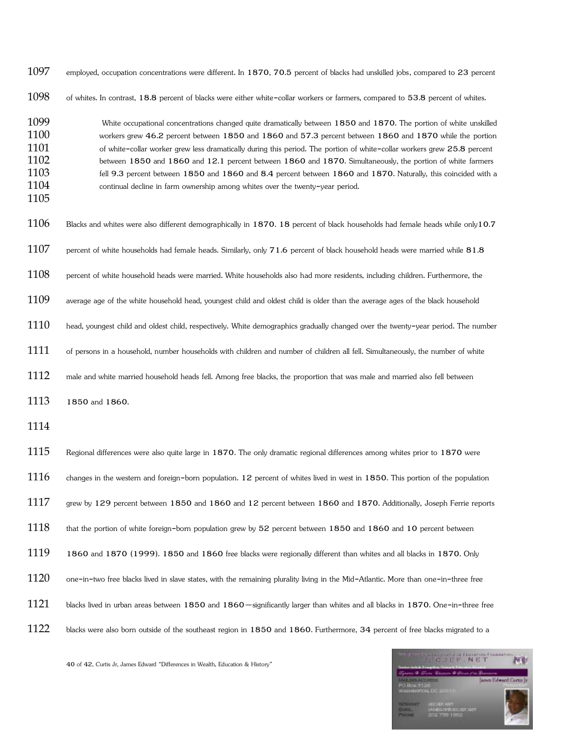| 1097                                                 | employed, occupation concentrations were different. In 1870, 70.5 percent of blacks had unskilled jobs, compared to 23 percent                                                                                                                                                                                                                                                                                                                                                                                                                                                                                                                                             |
|------------------------------------------------------|----------------------------------------------------------------------------------------------------------------------------------------------------------------------------------------------------------------------------------------------------------------------------------------------------------------------------------------------------------------------------------------------------------------------------------------------------------------------------------------------------------------------------------------------------------------------------------------------------------------------------------------------------------------------------|
| 1098                                                 | of whites. In contrast, 18.8 percent of blacks were either white-collar workers or farmers, compared to 53.8 percent of whites.                                                                                                                                                                                                                                                                                                                                                                                                                                                                                                                                            |
| 1099<br>1100<br>1101<br>1102<br>1103<br>1104<br>1105 | White occupational concentrations changed quite dramatically between 1850 and 1870. The portion of white unskilled<br>workers grew 46.2 percent between 1850 and 1860 and 57.3 percent between 1860 and 1870 while the portion<br>of white-collar worker grew less dramatically during this period. The portion of white-collar workers grew 25.8 percent<br>between 1850 and 1860 and 12.1 percent between 1860 and 1870. Simultaneously, the portion of white farmers<br>fell 9.3 percent between 1850 and 1860 and 8.4 percent between 1860 and 1870. Naturally, this coincided with a<br>continual decline in farm ownership among whites over the twenty-year period. |
| 1106                                                 | Blacks and whites were also different demographically in 1870. 18 percent of black households had female heads while only10.7                                                                                                                                                                                                                                                                                                                                                                                                                                                                                                                                              |
| 1107                                                 | percent of white households had female heads. Similarly, only 71.6 percent of black household heads were married while 81.8                                                                                                                                                                                                                                                                                                                                                                                                                                                                                                                                                |
| 1108                                                 | percent of white household heads were married. White households also had more residents, including children. Furthermore, the                                                                                                                                                                                                                                                                                                                                                                                                                                                                                                                                              |
| 1109                                                 | average age of the white household head, youngest child and oldest child is older than the average ages of the black household                                                                                                                                                                                                                                                                                                                                                                                                                                                                                                                                             |
| 1110                                                 | head, youngest child and oldest child, respectively. White demographics gradually changed over the twenty-year period. The number                                                                                                                                                                                                                                                                                                                                                                                                                                                                                                                                          |
| 1111                                                 | of persons in a household, number households with children and number of children all fell. Simultaneously, the number of white                                                                                                                                                                                                                                                                                                                                                                                                                                                                                                                                            |
| 1112                                                 | male and white married household heads fell. Among free blacks, the proportion that was male and married also fell between                                                                                                                                                                                                                                                                                                                                                                                                                                                                                                                                                 |
| 1113                                                 | 1850 and 1860.                                                                                                                                                                                                                                                                                                                                                                                                                                                                                                                                                                                                                                                             |
| 1114                                                 |                                                                                                                                                                                                                                                                                                                                                                                                                                                                                                                                                                                                                                                                            |
| 1115                                                 | Regional differences were also quite large in 1870. The only dramatic regional differences among whites prior to 1870 were                                                                                                                                                                                                                                                                                                                                                                                                                                                                                                                                                 |
| 1116                                                 | changes in the western and foreign-born population. 12 percent of whites lived in west in 1850. This portion of the population                                                                                                                                                                                                                                                                                                                                                                                                                                                                                                                                             |
| 1117                                                 | grew by 129 percent between 1850 and 1860 and 12 percent between 1860 and 1870. Additionally, Joseph Ferrie reports                                                                                                                                                                                                                                                                                                                                                                                                                                                                                                                                                        |
| 1118                                                 | that the portion of white foreign-born population grew by 52 percent between 1850 and 1860 and 10 percent between                                                                                                                                                                                                                                                                                                                                                                                                                                                                                                                                                          |
| 1119                                                 | 1860 and 1870 (1999). 1850 and 1860 free blacks were regionally different than whites and all blacks in 1870. Only                                                                                                                                                                                                                                                                                                                                                                                                                                                                                                                                                         |
| 1120                                                 | one-in-two free blacks lived in slave states, with the remaining plurality living in the Mid-Atlantic. More than one-in-three free                                                                                                                                                                                                                                                                                                                                                                                                                                                                                                                                         |
| 1121                                                 | blacks lived in urban areas between 1850 and 1860 - significantly larger than whites and all blacks in 1870. One-in-three free                                                                                                                                                                                                                                                                                                                                                                                                                                                                                                                                             |
| 1122                                                 | blacks were also born outside of the southeast region in 1850 and 1860. Furthermore, 34 percent of free blacks migrated to a                                                                                                                                                                                                                                                                                                                                                                                                                                                                                                                                               |

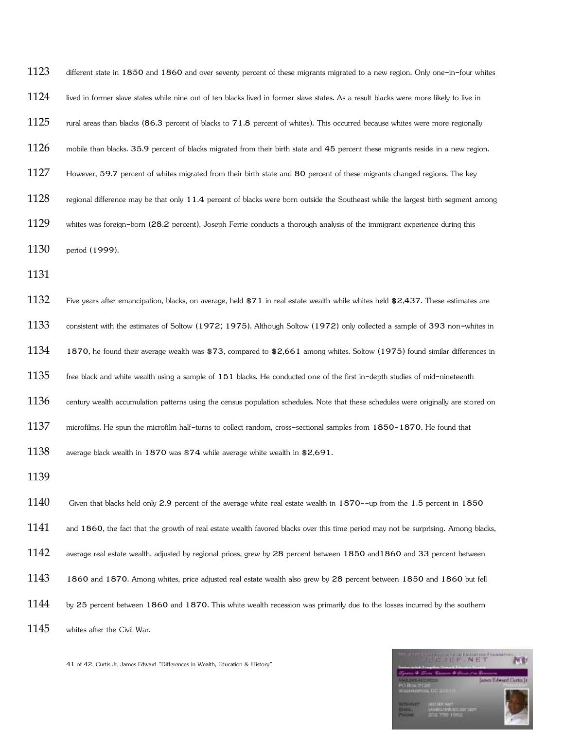| 1123 | different state in 1850 and 1860 and over seventy percent of these migrants migrated to a new region. Only one-in-four whites          |
|------|----------------------------------------------------------------------------------------------------------------------------------------|
| 1124 | lived in former slave states while nine out of ten blacks lived in former slave states. As a result blacks were more likely to live in |
| 1125 | rural areas than blacks (86.3 percent of blacks to 71.8 percent of whites). This occurred because whites were more regionally          |
| 1126 | mobile than blacks. 35.9 percent of blacks migrated from their birth state and 45 percent these migrants reside in a new region.       |
| 1127 | However, 59.7 percent of whites migrated from their birth state and 80 percent of these migrants changed regions. The key              |
| 1128 | regional difference may be that only 11.4 percent of blacks were born outside the Southeast while the largest birth segment among      |
| 1129 | whites was foreign-born (28.2 percent). Joseph Ferrie conducts a thorough analysis of the immigrant experience during this             |
| 1130 | period (1999).                                                                                                                         |
| 1131 |                                                                                                                                        |
| 1132 | Five years after emancipation, blacks, on average, held \$71 in real estate wealth while whites held \$2,437. These estimates are      |
| 1133 | consistent with the estimates of Soltow (1972; 1975). Although Soltow (1972) only collected a sample of 393 non-whites in              |
| 1134 | 1870, he found their average wealth was \$73, compared to \$2,661 among whites. Soltow (1975) found similar differences in             |
| 1135 | free black and white wealth using a sample of 151 blacks. He conducted one of the first in-depth studies of mid-nineteenth             |
| 1136 | century wealth accumulation patterns using the census population schedules. Note that these schedules were originally are stored on    |
| 1137 | microfilms. He spun the microfilm half-turns to collect random, cross-sectional samples from 1850-1870. He found that                  |
| 1138 | average black wealth in 1870 was \$74 while average white wealth in \$2,691.                                                           |
| 1139 |                                                                                                                                        |
| 1140 | Given that blacks held only 2.9 percent of the average white real estate wealth in 1870--up from the 1.5 percent in 1850               |
| 1141 | and 1860, the fact that the growth of real estate wealth favored blacks over this time period may not be surprising. Among blacks,     |
| 1142 | average real estate wealth, adjusted by regional prices, grew by 28 percent between 1850 and 1860 and 33 percent between               |

- 1860 and 1870. Among whites, price adjusted real estate wealth also grew by 28 percent between 1850 and 1860 but fell
- 1144 by 25 percent between 1860 and 1870. This white wealth recession was primarily due to the losses incurred by the southern

1145 whites after the Civil War.

41 of 42, Curtis Jr, James Edward "Differences in Wealth, Education & History"